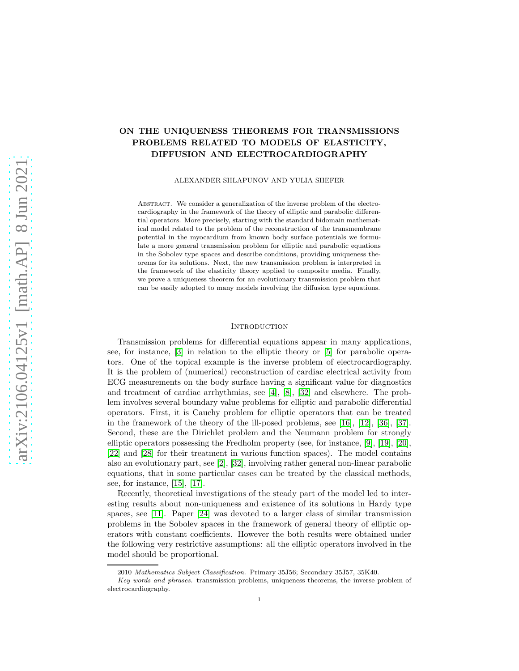# ON THE UNIQUENESS THEOREMS FOR TRANSMISSIONS PROBLEMS RELATED TO MODELS OF ELASTICITY, DIFFUSION AND ELECTROCARDIOGRAPHY

ALEXANDER SHLAPUNOV AND YULIA SHEFER

Abstract. We consider a generalization of the inverse problem of the electrocardiography in the framework of the theory of elliptic and parabolic differential operators. More precisely, starting with the standard bidomain mathematical model related to the problem of the reconstruction of the transmembrane potential in the myocardium from known body surface potentials we formulate a more general transmission problem for elliptic and parabolic equations in the Sobolev type spaces and describe conditions, providing uniqueness theorems for its solutions. Next, the new transmission problem is interpreted in the framework of the elasticity theory applied to composite media. Finally, we prove a uniqueness theorem for an evolutionary transmission problem that can be easily adopted to many models involving the diffusion type equations.

## **INTRODUCTION**

Transmission problems for differential equations appear in many applications, see, for instance, [\[3\]](#page-22-0) in relation to the elliptic theory or [\[5\]](#page-23-0) for parabolic operators. One of the topical example is the inverse problem of electrocardiography. It is the problem of (numerical) reconstruction of cardiac electrical activity from ECG measurements on the body surface having a significant value for diagnostics and treatment of cardiac arrhythmias, see [\[4\]](#page-23-1), [\[8\]](#page-23-2), [\[32\]](#page-24-0) and elsewhere. The problem involves several boundary value problems for elliptic and parabolic differential operators. First, it is Cauchy problem for elliptic operators that can be treated in the framework of the theory of the ill-posed problems, see [\[16\]](#page-23-3), [\[12\]](#page-23-4), [\[36\]](#page-24-1), [\[37\]](#page-24-2). Second, these are the Dirichlet problem and the Neumann problem for strongly elliptic operators possessing the Fredholm property (see, for instance, [\[9\]](#page-23-5), [\[19\]](#page-23-6), [\[20\]](#page-23-7), [\[22\]](#page-23-8) and [\[28\]](#page-23-9) for their treatment in various function spaces). The model contains also an evolutionary part, see [\[2\]](#page-22-1), [\[32\]](#page-24-0), involving rather general non-linear parabolic equations, that in some particular cases can be treated by the classical methods, see, for instance, [\[15\]](#page-23-10), [\[17\]](#page-23-11).

Recently, theoretical investigations of the steady part of the model led to interesting results about non-uniqueness and existence of its solutions in Hardy type spaces, see [\[11\]](#page-23-12). Paper [\[24\]](#page-23-13) was devoted to a larger class of similar transmission problems in the Sobolev spaces in the framework of general theory of elliptic operators with constant coefficients. However the both results were obtained under the following very restrictive assumptions: all the elliptic operators involved in the model should be proportional.

<sup>2010</sup> Mathematics Subject Classification. Primary 35J56; Secondary 35J57, 35K40.

Key words and phrases. transmission problems, uniqueness theorems, the inverse problem of electrocardiography.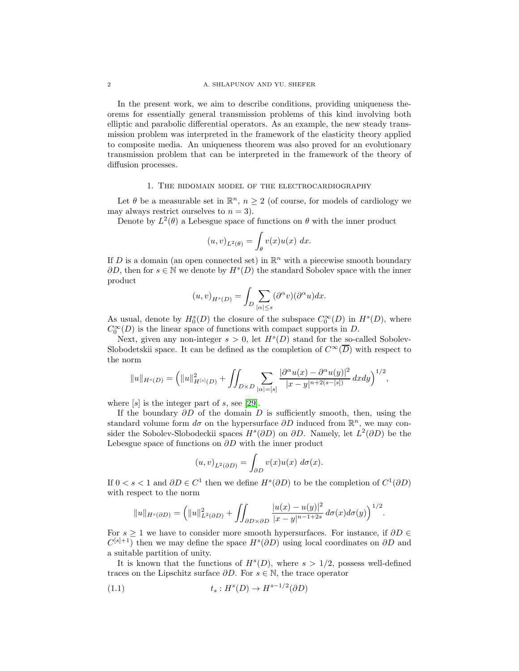In the present work, we aim to describe conditions, providing uniqueness theorems for essentially general transmission problems of this kind involving both elliptic and parabolic differential operators. As an example, the new steady transmission problem was interpreted in the framework of the elasticity theory applied to composite media. An uniqueness theorem was also proved for an evolutionary transmission problem that can be interpreted in the framework of the theory of diffusion processes.

## 1. The bidomain model of the electrocardiography

<span id="page-1-0"></span>Let  $\theta$  be a measurable set in  $\mathbb{R}^n$ ,  $n \geq 2$  (of course, for models of cardiology we may always restrict ourselves to  $n = 3$ ).

Denote by  $L^2(\theta)$  a Lebesgue space of functions on  $\theta$  with the inner product

$$
(u,v)_{L^2(\theta)} = \int_{\theta} v(x)u(x) \, dx.
$$

If D is a domain (an open connected set) in  $\mathbb{R}^n$  with a piecewise smooth boundary  $\partial D$ , then for  $s \in \mathbb{N}$  we denote by  $H^s(D)$  the standard Sobolev space with the inner product

$$
(u,v)_{H^s(D)} = \int_D \sum_{|\alpha| \le s} (\partial^{\alpha} v)(\partial^{\alpha} u) dx.
$$

As usual, denote by  $H_0^s(D)$  the closure of the subspace  $C_0^{\infty}(D)$  in  $H^s(D)$ , where  $C_0^{\infty}(D)$  is the linear space of functions with compact supports in D.

Next, given any non-integer  $s > 0$ , let  $H<sup>s</sup>(D)$  stand for the so-called Sobolev-Slobodetskii space. It can be defined as the completion of  $C^{\infty}(\overline{D})$  with respect to the norm

$$
||u||_{H^{s}(D)} = (||u||_{H^{[s]}(D)}^{2} + \iint_{D \times D} \sum_{|\alpha|=[s]} \frac{|\partial^{\alpha} u(x) - \partial^{\alpha} u(y)|^{2}}{|x - y|^{n+2(s-[s])}} dx dy\big)^{1/2},
$$

where  $[s]$  is the integer part of s, see [\[29\]](#page-23-14).

If the boundary  $\partial D$  of the domain D is sufficiently smooth, then, using the standard volume form  $d\sigma$  on the hypersurface  $\partial D$  induced from  $\mathbb{R}^n$ , we may consider the Sobolev-Slobodeckii spaces  $H^s(\partial D)$  on  $\partial D$ . Namely, let  $L^2(\partial D)$  be the Lebesgue space of functions on  $\partial D$  with the inner product

$$
(u,v)_{L^2(\partial D)} = \int_{\partial D} v(x)u(x) \ d\sigma(x).
$$

If  $0 < s < 1$  and  $\partial D \in C^1$  then we define  $H^s(\partial D)$  to be the completion of  $C^1(\partial D)$ with respect to the norm

$$
||u||_{H^{s}(\partial D)} = (||u||_{L^{2}(\partial D)}^{2} + \iint_{\partial D \times \partial D} \frac{|u(x) - u(y)|^{2}}{|x - y|^{n-1+2s}} d\sigma(x) d\sigma(y))^{1/2}.
$$

For  $s \geq 1$  we have to consider more smooth hypersurfaces. For instance, if  $\partial D \in$  $C^{[s]+1}$ ) then we may define the space  $H^s(\partial D)$  using local coordinates on  $\partial D$  and a suitable partition of unity.

It is known that the functions of  $H^s(D)$ , where  $s > 1/2$ , possess well-defined traces on the Lipschitz surface  $\partial D$ . For  $s \in \mathbb{N}$ , the trace operator

(1.1) 
$$
t_s: H^s(D) \to H^{s-1/2}(\partial D)
$$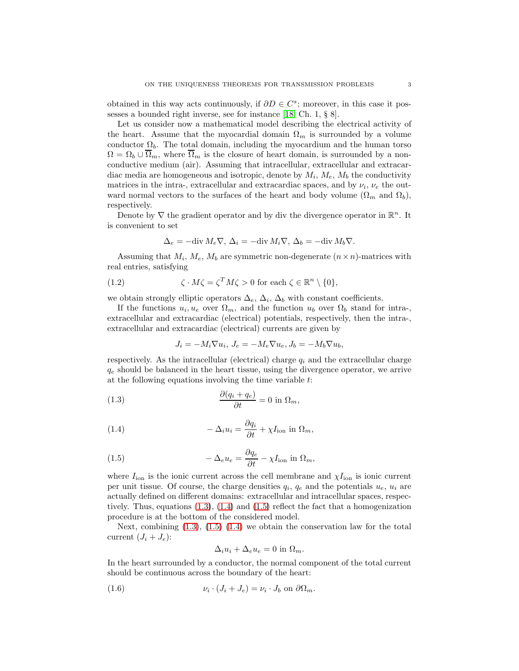obtained in this way acts continuously, if  $\partial D \in C^s$ ; moreover, in this case it possesses a bounded right inverse, see for instance [\[18,](#page-23-15) Ch. 1, § 8].

Let us consider now a mathematical model describing the electrical activity of the heart. Assume that the myocardial domain  $\Omega_m$  is surrounded by a volume conductor  $\Omega_b$ . The total domain, including the myocardium and the human torso  $\Omega = \Omega_b \cup \overline{\Omega}_m$ , where  $\overline{\Omega}_m$  is the closure of heart domain, is surrounded by a nonconductive medium (air). Assuming that intracellular, extracellular and extracardiac media are homogeneous and isotropic, denote by  $M_i$ ,  $M_e$ ,  $M_b$  the conductivity matrices in the intra-, extracellular and extracardiac spaces, and by  $\nu_i$ ,  $\nu_e$  the outward normal vectors to the surfaces of the heart and body volume  $(\Omega_m$  and  $\Omega_b)$ , respectively.

Denote by  $\nabla$  the gradient operator and by div the divergence operator in  $\mathbb{R}^n$ . It is convenient to set

<span id="page-2-4"></span>
$$
\Delta_e = -\text{div } M_e \nabla, \, \Delta_i = -\text{div } M_i \nabla, \, \Delta_b = -\text{div } M_b \nabla.
$$

Assuming that  $M_i$ ,  $M_e$ ,  $M_b$  are symmetric non-degenerate  $(n \times n)$ -matrices with real entries, satisfying

(1.2) 
$$
\zeta \cdot M \zeta = \zeta^T M \zeta > 0 \text{ for each } \zeta \in \mathbb{R}^n \setminus \{0\},
$$

we obtain strongly elliptic operators  $\Delta_e$ ,  $\Delta_i$ ,  $\Delta_b$  with constant coefficients.

If the functions  $u_i, u_e$  over  $\Omega_m$ , and the function  $u_b$  over  $\Omega_b$  stand for intra-, extracellular and extracardiac (electrical) potentials, respectively, then the intra-, extracellular and extracardiac (electrical) currents are given by

<span id="page-2-1"></span><span id="page-2-0"></span>
$$
J_i = -M_i \nabla u_i, J_e = -M_e \nabla u_e, J_b = -M_b \nabla u_b,
$$

respectively. As the intracellular (electrical) charge  $q_i$  and the extracellular charge  $q_e$  should be balanced in the heart tissue, using the divergence operator, we arrive at the following equations involving the time variable t:

(1.3) 
$$
\frac{\partial (q_i + q_e)}{\partial t} = 0 \text{ in } \Omega_m,
$$

(1.4) 
$$
-\Delta_i u_i = \frac{\partial q_i}{\partial t} + \chi I_{\text{ion}} \text{ in } \Omega_m,
$$

(1.5) 
$$
-\Delta_e u_e = \frac{\partial q_e}{\partial t} - \chi I_{\text{ion}} \text{ in } \Omega_m,
$$

where  $I_{\text{ion}}$  is the ionic current across the cell membrane and  $\chi I_{\text{ion}}$  is ionic current per unit tissue. Of course, the charge densities  $q_i$ ,  $q_e$  and the potentials  $u_e$ ,  $u_i$  are actually defined on different domains: extracellular and intracellular spaces, respectively. Thus, equations  $(1.3)$ ,  $(1.4)$  and  $(1.5)$  reflect the fact that a homogenization procedure is at the bottom of the considered model.

Next, combining [\(1.3\)](#page-2-0), [\(1.5\)](#page-2-2) [\(1.4\)](#page-2-1) we obtain the conservation law for the total current  $(J_i + J_e)$ :

<span id="page-2-3"></span><span id="page-2-2"></span>
$$
\Delta_i u_i + \Delta_e u_e = 0 \text{ in } \Omega_m.
$$

In the heart surrounded by a conductor, the normal component of the total current should be continuous across the boundary of the heart:

(1.6) 
$$
\nu_i \cdot (J_i + J_e) = \nu_i \cdot J_b \text{ on } \partial \Omega_m.
$$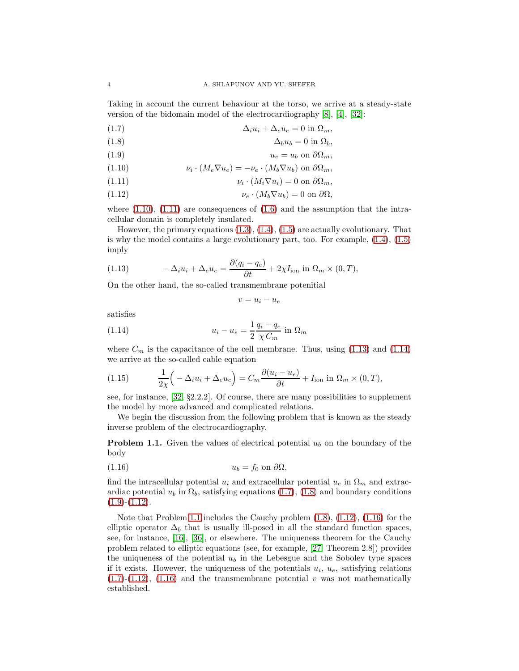Taking in account the current behaviour at the torso, we arrive at a steady-state version of the bidomain model of the electrocardiography [\[8\]](#page-23-2), [\[4\]](#page-23-1), [\[32\]](#page-24-0):

<span id="page-3-4"></span>(1.7) ∆iu<sup>i</sup> + ∆eu<sup>e</sup> = 0 in Ωm,

<span id="page-3-5"></span>
$$
\Delta_b u_b = 0 \text{ in } \Omega_b,
$$

<span id="page-3-6"></span>
$$
(1.9) \t\t u_e = u_b \text{ on } \partial\Omega_m,
$$

<span id="page-3-0"></span>(1.10) 
$$
\nu_i \cdot (M_e \nabla u_e) = -\nu_e \cdot (M_b \nabla u_b) \text{ on } \partial \Omega_m,
$$

<span id="page-3-1"></span>(1.11) 
$$
\nu_i \cdot (M_i \nabla u_i) = 0 \text{ on } \partial \Omega_m,
$$

<span id="page-3-7"></span>(1.12) 
$$
\nu_e \cdot (M_b \nabla u_b) = 0 \text{ on } \partial \Omega,
$$

where  $(1.10)$ ,  $(1.11)$  are consequences of  $(1.6)$  and the assumption that the intracellular domain is completely insulated.

However, the primary equations [\(1.3\)](#page-2-0), [\(1.4\)](#page-2-1), [\(1.5\)](#page-2-2) are actually evolutionary. That is why the model contains a large evolutionary part, too. For example, [\(1.4\)](#page-2-1), [\(1.5\)](#page-2-2) imply

<span id="page-3-2"></span>(1.13) 
$$
-\Delta_i u_i + \Delta_e u_e = \frac{\partial (q_i - q_e)}{\partial t} + 2\chi I_{\text{ion}} \text{ in } \Omega_m \times (0, T),
$$

On the other hand, the so-called transmembrane potenitial

<span id="page-3-3"></span>
$$
v=u_i-u_e
$$

satisfies

(1.14) 
$$
u_i - u_e = \frac{1}{2} \frac{q_i - q_e}{\chi C_m} \text{ in } \Omega_m
$$

where  $C_m$  is the capacitance of the cell membrane. Thus, using  $(1.13)$  and  $(1.14)$ we arrive at the so-called cable equation

<span id="page-3-10"></span>(1.15) 
$$
\frac{1}{2\chi} \left( -\Delta_i u_i + \Delta_e u_e \right) = C_m \frac{\partial (u_i - u_e)}{\partial t} + I_{\text{ion}} \text{ in } \Omega_m \times (0, T),
$$

see, for instance, [\[32,](#page-24-0) §2.2.2]. Of course, there are many possibilities to supplement the model by more advanced and complicated relations.

We begin the discussion from the following problem that is known as the steady inverse problem of the electrocardiography.

<span id="page-3-8"></span>**Problem 1.1.** Given the values of electrical potential  $u_b$  on the boundary of the body

<span id="page-3-9"></span>
$$
(1.16) \t\t u_b = f_0 \text{ on } \partial\Omega,
$$

find the intracellular potential  $u_i$  and extracellular potential  $u_e$  in  $\Omega_m$  and extracardiac potential  $u_b$  in  $\Omega_b$ , satisfying equations [\(1.7\)](#page-3-4), [\(1.8\)](#page-3-5) and boundary conditions  $(1.9)-(1.12).$  $(1.9)-(1.12).$  $(1.9)-(1.12).$  $(1.9)-(1.12).$ 

Note that Problem [1.1](#page-3-8) includes the Cauchy problem [\(1.8\)](#page-3-5), [\(1.12\)](#page-3-7), [\(1.16\)](#page-3-9) for the elliptic operator  $\Delta_b$  that is usually ill-posed in all the standard function spaces, see, for instance, [\[16\]](#page-23-3), [\[36\]](#page-24-1), or elsewhere. The uniqueness theorem for the Cauchy problem related to elliptic equations (see, for example, [\[27,](#page-23-16) Theorem 2.8]) provides the uniqueness of the potential  $u<sub>b</sub>$  in the Lebesgue and the Sobolev type spaces if it exists. However, the uniqueness of the potentials  $u_i$ ,  $u_e$ , satisfying relations  $(1.7)-(1.12)$  $(1.7)-(1.12)$  $(1.7)-(1.12)$ ,  $(1.16)$  and the transmembrane potential v was not mathematically established.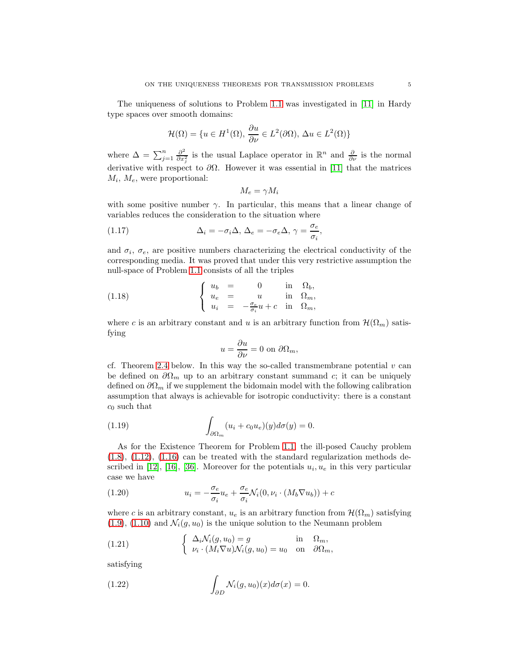The uniqueness of solutions to Problem [1.1](#page-3-8) was investigated in [\[11\]](#page-23-12) in Hardy type spaces over smooth domains:

$$
\mathcal{H}(\Omega) = \{ u \in H^1(\Omega), \, \frac{\partial u}{\partial \nu} \in L^2(\partial \Omega), \, \Delta u \in L^2(\Omega) \}
$$

where  $\Delta = \sum_{j=1}^n \frac{\partial^2}{\partial x_j^2}$  $\frac{\partial^2}{\partial x_j^2}$  is the usual Laplace operator in  $\mathbb{R}^n$  and  $\frac{\partial}{\partial \nu}$  is the normal derivative with respect to  $\partial\Omega$ . However it was essential in [\[11\]](#page-23-12) that the matrices  $M_i$ ,  $M_e$ , were proportional:

<span id="page-4-4"></span>
$$
M_e = \gamma M_i
$$

with some positive number  $\gamma$ . In particular, this means that a linear change of variables reduces the consideration to the situation where

(1.17) 
$$
\Delta_i = -\sigma_i \Delta, \Delta_e = -\sigma_e \Delta, \gamma = \frac{\sigma_e}{\sigma_i},
$$

and  $\sigma_i$ ,  $\sigma_e$ , are positive numbers characterizing the electrical conductivity of the corresponding media. It was proved that under this very restrictive assumption the null-space of Problem [1.1](#page-3-8) consists of all the triples

(1.18) 
$$
\begin{cases} u_b = 0 \quad \text{in} \quad \Omega_b, \\ u_e = u \quad \text{in} \quad \Omega_m, \\ u_i = -\frac{\sigma_e}{\sigma_i}u + c \quad \text{in} \quad \Omega_m, \end{cases}
$$

where c is an arbitrary constant and u is an arbitrary function from  $\mathcal{H}(\Omega_m)$  satisfying

<span id="page-4-2"></span>
$$
u = \frac{\partial u}{\partial \nu} = 0 \text{ on } \partial \Omega_m,
$$

cf. Theorem [2.4](#page-9-0) below. In this way the so-called transmembrane potential  $v$  can be defined on  $\partial\Omega_m$  up to an arbitrary constant summand c; it can be uniquely defined on  $\partial\Omega_m$  if we supplement the bidomain model with the following calibration assumption that always is achievable for isotropic conductivity: there is a constant  $c_0$  such that

(1.19) 
$$
\int_{\partial\Omega_m} (u_i + c_0 u_e)(y) d\sigma(y) = 0.
$$

As for the Existence Theorem for Problem [1.1,](#page-3-8) the ill-posed Cauchy problem  $(1.8)$ ,  $(1.12)$ ,  $(1.16)$  can be treated with the standard regularization methods de-scribed in [\[12\]](#page-23-4), [\[16\]](#page-23-3), [\[36\]](#page-24-1). Moreover for the potentials  $u_i, u_e$  in this very particular case we have

<span id="page-4-1"></span>(1.20) 
$$
u_i = -\frac{\sigma_e}{\sigma_i} u_e + \frac{\sigma_e}{\sigma_i} \mathcal{N}_i(0, \nu_i \cdot (M_b \nabla u_b)) + c
$$

where c is an arbitrary constant,  $u_e$  is an arbitrary function from  $\mathcal{H}(\Omega_m)$  satisfying  $(1.9)$ ,  $(1.10)$  and  $\mathcal{N}_i(g, u_0)$  is the unique solution to the Neumann problem

<span id="page-4-0"></span>(1.21) 
$$
\begin{cases} \Delta_i \mathcal{N}_i(g, u_0) = g & \text{in } \Omega_m, \\ \nu_i \cdot (M_i \nabla u) \mathcal{N}_i(g, u_0) = u_0 & \text{on } \partial \Omega_m, \end{cases}
$$

satisfying

<span id="page-4-3"></span>(1.22) 
$$
\int_{\partial D} \mathcal{N}_i(g, u_0)(x) d\sigma(x) = 0.
$$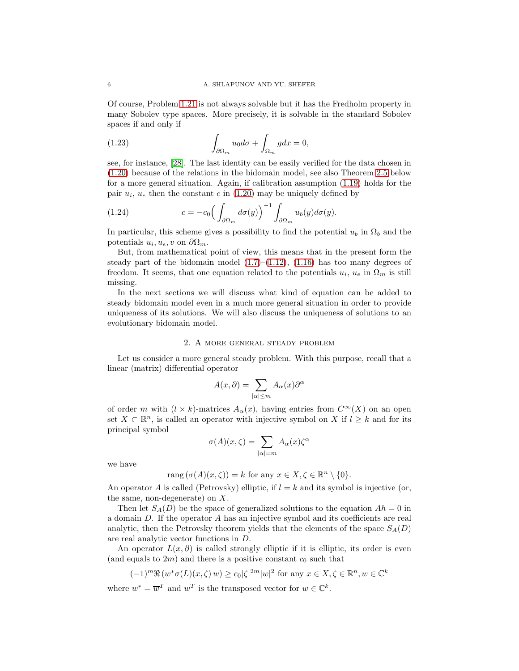Of course, Problem [1.21](#page-4-0) is not always solvable but it has the Fredholm property in many Sobolev type spaces. More precisely, it is solvable in the standard Sobolev spaces if and only if

<span id="page-5-0"></span>(1.23) 
$$
\int_{\partial\Omega_m} u_0 d\sigma + \int_{\Omega_m} g dx = 0,
$$

see, for instance, [\[28\]](#page-23-9). The last identity can be easily verified for the data chosen in [\(1.20\)](#page-4-1) because of the relations in the bidomain model, see also Theorem [2.5](#page-11-0) below for a more general situation. Again, if calibration assumption [\(1.19\)](#page-4-2) holds for the pair  $u_i$ ,  $u_e$  then the constant c in [\(1.20\)](#page-4-1) may be uniquely defined by

(1.24) 
$$
c = -c_0 \left( \int_{\partial \Omega_m} d\sigma(y) \right)^{-1} \int_{\partial \Omega_m} u_b(y) d\sigma(y).
$$

In particular, this scheme gives a possibility to find the potential  $u_b$  in  $\Omega_b$  and the potentials  $u_i, u_e, v$  on  $\partial \Omega_m$ .

But, from mathematical point of view, this means that in the present form the steady part of the bidomain model  $(1.7)$ – $(1.12)$ ,  $(1.16)$  has too many degrees of freedom. It seems, that one equation related to the potentials  $u_i$ ,  $u_e$  in  $\Omega_m$  is still missing.

In the next sections we will discuss what kind of equation can be added to steady bidomain model even in a much more general situation in order to provide uniqueness of its solutions. We will also discuss the uniqueness of solutions to an evolutionary bidomain model.

### 2. A more general steady problem

<span id="page-5-1"></span>Let us consider a more general steady problem. With this purpose, recall that a linear (matrix) differential operator

$$
A(x,\partial) = \sum_{|\alpha| \le m} A_{\alpha}(x)\partial^{\alpha}
$$

of order m with  $(l \times k)$ -matrices  $A_{\alpha}(x)$ , having entries from  $C^{\infty}(X)$  on an open set  $X \subset \mathbb{R}^n$ , is called an operator with injective symbol on X if  $l \geq k$  and for its principal symbol

$$
\sigma(A)(x,\zeta) = \sum_{|\alpha|=m} A_{\alpha}(x)\zeta^{\alpha}
$$

we have

$$
rang(\sigma(A)(x,\zeta)) = k \text{ for any } x \in X, \zeta \in \mathbb{R}^n \setminus \{0\}.
$$

An operator A is called (Petrovsky) elliptic, if  $l = k$  and its symbol is injective (or, the same, non-degenerate) on  $X$ .

Then let  $S_A(D)$  be the space of generalized solutions to the equation  $Ah = 0$  in a domain D. If the operator A has an injective symbol and its coefficients are real analytic, then the Petrovsky theorem yields that the elements of the space  $S<sub>A</sub>(D)$ are real analytic vector functions in D.

An operator  $L(x, \partial)$  is called strongly elliptic if it is elliptic, its order is even (and equals to  $2m$ ) and there is a positive constant  $c_0$  such that

$$
(-1)^m \Re(w^* \sigma(L)(x, \zeta) w) \ge c_0 |\zeta|^{2m} |w|^2 \text{ for any } x \in X, \zeta \in \mathbb{R}^n, w \in \mathbb{C}^k
$$

where  $w^* = \overline{w}^T$  and  $w^T$  is the transposed vector for  $w \in \mathbb{C}^k$ .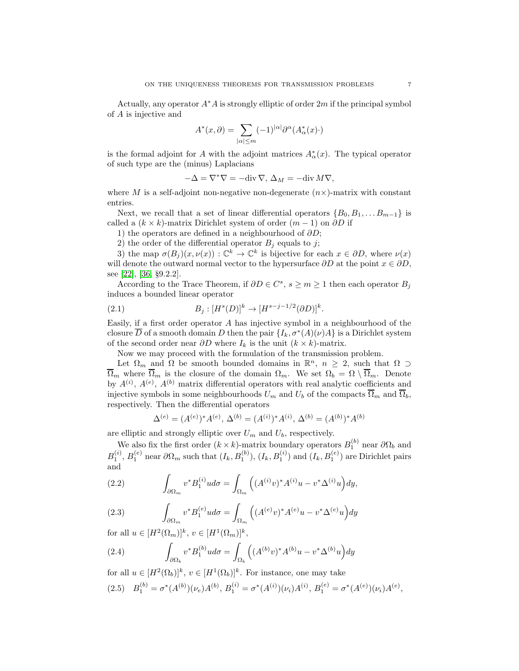Actually, any operator  $A^*A$  is strongly elliptic of order 2m if the principal symbol of A is injective and

$$
A^*(x,\partial) = \sum_{|\alpha| \le m} (-1)^{|\alpha|} \partial^{\alpha} (A^*_{\alpha}(x) \cdot)
$$

is the formal adjoint for A with the adjoint matrices  $A^*_{\alpha}(x)$ . The typical operator of such type are the (minus) Laplacians

$$
-\Delta = \nabla^* \nabla = -\text{div }\nabla, \, \Delta_M = -\text{div } M \nabla,
$$

where M is a self-adjoint non-negative non-degenerate  $(n \times)$ -matrix with constant entries.

Next, we recall that a set of linear differential operators  $\{B_0, B_1, \ldots B_{m-1}\}\$ is called a  $(k \times k)$ -matrix Dirichlet system of order  $(m-1)$  on  $\partial D$  if

1) the operators are defined in a neighbourhood of  $\partial D$ ;

2) the order of the differential operator  $B_i$  equals to j;

3) the map  $\sigma(B_j)(x,\nu(x)) : \mathbb{C}^k \to \mathbb{C}^k$  is bijective for each  $x \in \partial D$ , where  $\nu(x)$ will denote the outward normal vector to the hypersurface  $\partial D$  at the point  $x \in \partial D$ , see [\[22\]](#page-23-8), [\[36,](#page-24-1) §9.2.2].

According to the Trace Theorem, if  $\partial D \in C^s$ ,  $s \geq m \geq 1$  then each operator  $B_j$ induces a bounded linear operator

(2.1) 
$$
B_j : [H^s(D)]^k \to [H^{s-j-1/2}(\partial D)]^k.
$$

Easily, if a first order operator A has injective symbol in a neighbourhood of the closure  $\overline{D}$  of a smooth domain D then the pair  $\{I_k, \sigma^*(A)(\nu)A\}$  is a Dirichlet system of the second order near  $\partial D$  where  $I_k$  is the unit  $(k \times k)$ -matrix.

Now we may proceed with the formulation of the transmission problem.

Let  $\Omega_m$  and  $\Omega$  be smooth bounded domains in  $\mathbb{R}^n$ ,  $n \geq 2$ , such that  $\Omega \supset$  $\overline{\Omega}_m$  where  $\overline{\Omega}_m$  is the closure of the domain  $\Omega_m$ . We set  $\Omega_b = \Omega \setminus \overline{\Omega}_m$ . Denote by  $A^{(i)}$ ,  $A^{(e)}$ ,  $A^{(b)}$  matrix differential operators with real analytic coefficients and injective symbols in some neighbourhoods  $U_m$  and  $U_b$  of the compacts  $\overline{\Omega}_m$  and  $\overline{\Omega}_b$ , respectively. Then the differential operators

$$
\Delta^{(e)} = (A^{(e)})^* A^{(e)}, \, \Delta^{(b)} = (A^{(i)})^* A^{(i)}, \, \Delta^{(b)} = (A^{(b)})^* A^{(b)}
$$

are elliptic and strongly elliptic over  $U_m$  and  $U_b$ , respectively.

We also fix the first order  $(k \times k)$ -matrix boundary operators  $B_1^{(b)}$  near  $\partial \Omega_b$  and  $B_1^{(i)}$ ,  $B_1^{(e)}$  near  $\partial\Omega_m$  such that  $(I_k, B_1^{(b)})$ ,  $(I_k, B_1^{(i)})$  and  $(I_k, B_1^{(e)})$  are Dirichlet pairs and

<span id="page-6-1"></span>(2.2) 
$$
\int_{\partial\Omega_m} v^* B_1^{(i)} u d\sigma = \int_{\Omega_m} \left( (A^{(i)} v)^* A^{(i)} u - v^* \Delta^{(i)} u \right) dy,
$$

<span id="page-6-3"></span>(2.3) 
$$
\int_{\partial\Omega_m} v^* B_1^{(e)} u d\sigma = \int_{\Omega_m} \left( (A^{(e)} v)^* A^{(e)} u - v^* \Delta^{(e)} u \right) dy
$$

for all  $u \in [H^2(\Omega_m)]^k$ ,  $v \in [H^1(\Omega_m)]^k$ ,

<span id="page-6-2"></span>(2.4) 
$$
\int_{\partial\Omega_b} v^* B_1^{(b)} u d\sigma = \int_{\Omega_b} \left( (A^{(b)} v)^* A^{(b)} u - v^* \Delta^{(b)} u \right) dy
$$

for all  $u \in [H^2(\Omega_b)]^k$ ,  $v \in [H^1(\Omega_b)]^k$ . For instance, one may take

<span id="page-6-0"></span>
$$
(2.5) \quad B_1^{(b)} = \sigma^*(A^{(b)})(\nu_e)A^{(b)}, \ B_1^{(i)} = \sigma^*(A^{(i)})(\nu_i)A^{(i)}, \ B_1^{(e)} = \sigma^*(A^{(e)})(\nu_i)A^{(e)},
$$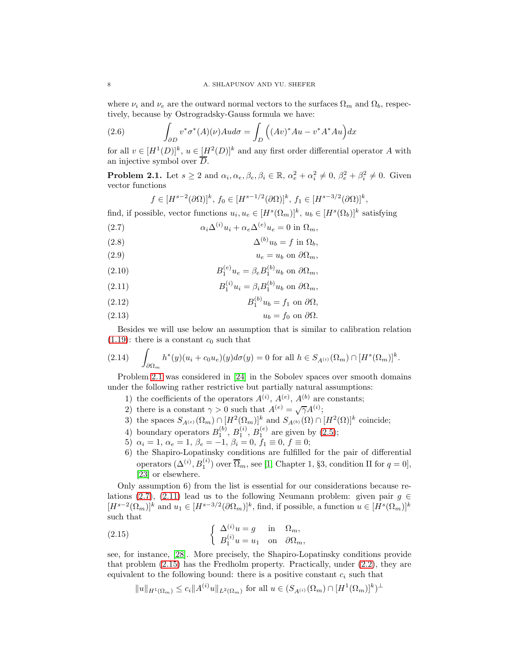where  $\nu_i$  and  $\nu_e$  are the outward normal vectors to the surfaces  $\Omega_m$  and  $\Omega_b$ , respectively, because by Ostrogradsky-Gauss formula we have:

(2.6) 
$$
\int_{\partial D} v^* \sigma^*(A)(\nu) A u d\sigma = \int_D ((Av)^* Au - v^* A^* Au) dx
$$

for all  $v \in [H^1(D)]^k$ ,  $u \in [H^2(D)]^k$  and any first order differential operator A with an injective symbol over  $\overline{D}$ .

<span id="page-7-0"></span>**Problem 2.1.** Let  $s \geq 2$  and  $\alpha_i, \alpha_e, \beta_e, \beta_i \in \mathbb{R}, \alpha_e^2 + \alpha_i^2 \neq 0, \beta_e^2 + \beta_i^2 \neq 0$ . Given vector functions

$$
f \in [H^{s-2}(\partial \Omega)]^k, f_0 \in [H^{s-1/2}(\partial \Omega)]^k, f_1 \in [H^{s-3/2}(\partial \Omega)]^k,
$$

find, if possible, vector functions  $u_i, u_e \in [H^s(\Omega_m)]^k$ ,  $u_b \in [H^s(\Omega_b)]^k$  satisfying  $\alpha$  and  $\alpha$ 

<span id="page-7-1"></span>(2.7) 
$$
\alpha_i \Delta^{(i)} u_i + \alpha_e \Delta^{(e)} u_e = 0 \text{ in } \Omega_m,
$$

<span id="page-7-4"></span>
$$
\Delta^{(b)}u_b = f \text{ in } \Omega_b,
$$

<span id="page-7-8"></span>
$$
(2.9) \t\t u_e = u_b \text{ on } \partial\Omega_m,
$$

<span id="page-7-9"></span>(2.10) 
$$
B_1^{(e)}u_e = \beta_e B_1^{(b)}u_b \text{ on } \partial\Omega_m,
$$

<span id="page-7-2"></span>(2.11) 
$$
B_1^{(i)}u_i = \beta_i B_1^{(b)} u_b \text{ on } \partial \Omega_m,
$$

<span id="page-7-5"></span>
$$
(2.12) \t\t B_1^{(b)}u_b = f_1 \text{ on } \partial\Omega,
$$

<span id="page-7-6"></span>
$$
(2.13) \t\t\t u_b = f_0 \text{ on } \partial \Omega.
$$

Besides we will use below an assumption that is similar to calibration relation  $(1.19)$ : there is a constant  $c_0$  such that

<span id="page-7-7"></span>
$$
(2.14) \quad \int_{\partial\Omega_m} h^*(y)(u_i + c_0 u_e)(y)d\sigma(y) = 0 \text{ for all } h \in S_{A^{(i)}}(\Omega_m) \cap [H^s(\Omega_m)]^k.
$$

Problem [2.1](#page-7-0) was considered in [\[24\]](#page-23-13) in the Sobolev spaces over smooth domains under the following rather restrictive but partially natural assumptions:

- 1) the coefficients of the operators  $A^{(i)}$ ,  $A^{(e)}$ ,  $A^{(b)}$  are constants;
- 2) there is a constant  $\gamma > 0$  such that  $A^{(e)} = \sqrt{\gamma} A^{(i)}$ ;
- 3) the spaces  $S_{A^{(e)}}(\Omega_m) \cap [H^2(\Omega_m)]^k$  and  $S_{A^{(b)}}(\Omega) \cap [H^2(\Omega)]^k$  coincide;
- 4) boundary operators  $B_1^{(b)}$ ,  $B_1^{(i)}$ ,  $B_1^{(e)}$  are given by [\(2.5\)](#page-6-0);
- 5)  $\alpha_i = 1, \alpha_e = 1, \beta_e = -1, \beta_i = 0, f_1 \equiv 0, f \equiv 0;$
- 6) the Shapiro-Lopatinsky conditions are fulfilled for the pair of differential operators  $(\Delta^{(i)}, B_1^{(i)})$  over  $\overline{\Omega}_m$ , see [\[1,](#page-22-2) Chapter 1, §3, condition II for  $q = 0$ ], [\[23\]](#page-23-17) or elsewhere.

Only assumption 6) from the list is essential for our considerations because re-lations [\(2.7\)](#page-7-1), [\(2.11\)](#page-7-2) lead us to the following Neumann problem: given pair  $g \in$  $[H^{s-2}(\Omega_m)]^k$  and  $u_1 \in [H^{s-3/2}(\partial \Omega_m)]^k$ , find, if possible, a function  $u \in [H^s(\Omega_m)]^k$ such that

(2.15) 
$$
\begin{cases} \Delta^{(i)} u = g & \text{in} \quad \Omega_m, \\ B_1^{(i)} u = u_1 & \text{on} \quad \partial \Omega_m, \end{cases}
$$

see, for instance, [\[28\]](#page-23-9). More precisely, the Shapiro-Lopatinsky conditions provide that problem [\(2.15\)](#page-7-3) has the Fredholm property. Practically, under [\(2.2\)](#page-6-1), they are equivalent to the following bound: there is a positive constant  $c_i$  such that

<span id="page-7-3"></span>
$$
||u||_{H^1(\Omega_m)} \le c_i ||A^{(i)}u||_{L^2(\Omega_m)} \text{ for all } u \in (S_{A^{(i)}}(\Omega_m) \cap [H^1(\Omega_m)]^k)^{\perp}
$$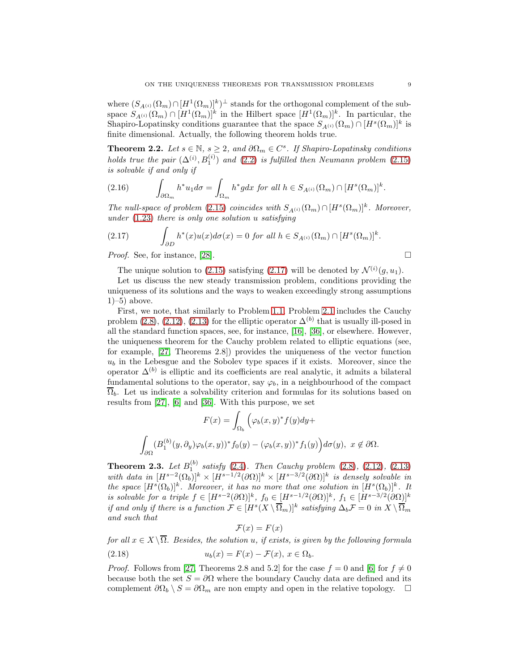where  $(S_{A^{(i)}}(\Omega_m) \cap [H^1(\Omega_m)]^k)^\perp$  stands for the orthogonal complement of the subspace  $S_{A^{(i)}}(\Omega_m) \cap [H^1(\Omega_m)]^k$  in the Hilbert space  $[H^1(\Omega_m)]^k$ . In particular, the Shapiro-Lopatinsky conditions guarantee that the space  $S_{A^{(i)}}(\Omega_m) \cap [H^s(\Omega_m)]^k$  is finite dimensional. Actually, the following theorem holds true.

<span id="page-8-2"></span>**Theorem 2.2.** Let  $s \in \mathbb{N}$ ,  $s \geq 2$ , and  $\partial\Omega_m \in C^s$ . If Shapiro-Lopatinsky conditions holds true the pair  $(\Delta^{(i)}, B_1^{(i)})$  and  $(2.2)$  is fulfilled then Neumann problem  $(2.15)$ is solvable if and only if

(2.16) 
$$
\int_{\partial\Omega_m} h^* u_1 d\sigma = \int_{\Omega_m} h^* g dx \text{ for all } h \in S_{A^{(i)}}(\Omega_m) \cap [H^s(\Omega_m)]^k.
$$

The null-space of problem [\(2.15\)](#page-7-3) coincides with  $S_{A^{(i)}}(\Omega_m) \cap [H^s(\Omega_m)]^k$ . Moreover, under  $(1.23)$  there is only one solution u satisfying

<span id="page-8-0"></span>(2.17) 
$$
\int_{\partial D} h^*(x)u(x)d\sigma(x) = 0 \text{ for all } h \in S_{A^{(i)}}(\Omega_m) \cap [H^s(\Omega_m)]^k.
$$

*Proof.* See, for instance, [\[28\]](#page-23-9).  $\Box$ 

The unique solution to [\(2.15\)](#page-7-3) satisfying [\(2.17\)](#page-8-0) will be denoted by  $\mathcal{N}^{(i)}(g, u_1)$ .

Let us discuss the new steady transmission problem, conditions providing the uniqueness of its solutions and the ways to weaken exceedingly strong assumptions  $1$ –5) above.

First, we note, that similarly to Problem [1.1,](#page-3-8) Problem [2.1](#page-7-0) includes the Cauchy problem [\(2.8\)](#page-7-4), [\(2.12\)](#page-7-5), [\(2.13\)](#page-7-6) for the elliptic operator  $\Delta^{(b)}$  that is usually ill-posed in all the standard function spaces, see, for instance, [\[16\]](#page-23-3), [\[36\]](#page-24-1), or elsewhere. However, the uniqueness theorem for the Cauchy problem related to elliptic equations (see, for example, [\[27,](#page-23-16) Theorems 2.8]) provides the uniqueness of the vector function  $u<sub>b</sub>$  in the Lebesgue and the Sobolev type spaces if it exists. Moreover, since the operator  $\Delta^{(b)}$  is elliptic and its coefficients are real analytic, it admits a bilateral fundamental solutions to the operator, say  $\varphi_b$ , in a neighbourhood of the compact  $\overline{\Omega}_b$ . Let us indicate a solvability criterion and formulas for its solutions based on results from [\[27\]](#page-23-16), [\[6\]](#page-23-18) and [\[36\]](#page-24-1). With this purpose, we set

$$
F(x) = \int_{\Omega_b} \left( \varphi_b(x, y)^* f(y) dy + \right.
$$

$$
\int_{\partial\Omega} (B_1^{(b)}(y, \partial_y) \varphi_b(x, y))^* f_0(y) - (\varphi_b(x, y))^* f_1(y) \right) d\sigma(y), \ x \notin \partial\Omega.
$$

<span id="page-8-1"></span>**Theorem 2.3.** Let  $B_1^{(b)}$  satisfy [\(2.4\)](#page-6-2). Then Cauchy problem [\(2.8\)](#page-7-4), [\(2.12\)](#page-7-5), [\(2.13\)](#page-7-6) with data in  $[H^{s-2}(\Omega_b)]^k \times [H^{s-1/2}(\partial \Omega)]^k \times [H^{s-3/2}(\partial \Omega)]^k$  is densely solvable in the space  $[H<sup>s</sup>(\Omega_b)]<sup>k</sup>$ . Moreover, it has no more that one solution in  $[H<sup>s</sup>(\Omega_b)]<sup>k</sup>$ . It is solvable for a triple  $f \in [H^{s-2}(\partial \Omega)]^k$ ,  $f_0 \in [H^{s-1/2}(\partial \Omega)]^k$ ,  $f_1 \in [H^{s-3/2}(\partial \Omega)]^k$ if and only if there is a function  $\mathcal{F} \in [H^s(X \setminus \overline{\Omega}_m)]^k$  satisfying  $\Delta_b \mathcal{F} = 0$  in  $X \setminus \overline{\Omega}_m$ and such that

$$
\mathcal{F}(x) = F(x)
$$

for all  $x \in X \setminus \overline{\Omega}$ . Besides, the solution u, if exists, is given by the following formula (2.18)  $u_b(x) = F(x) - \mathcal{F}(x), x \in \Omega_b.$ 

*Proof.* Follows from [\[27,](#page-23-16) Theorems 2.8 and 5.2] for the case  $f = 0$  and [\[6\]](#page-23-18) for  $f \neq 0$ because both the set  $S = \partial \Omega$  where the boundary Cauchy data are defined and its complement  $\partial \Omega_b \setminus S = \partial \Omega_m$  are non empty and open in the relative topology.  $\square$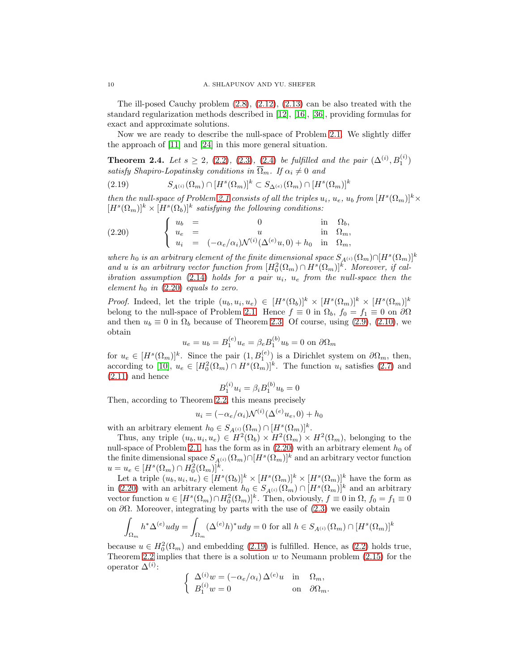The ill-posed Cauchy problem  $(2.8)$ ,  $(2.12)$ ,  $(2.13)$  can be also treated with the standard regularization methods described in [\[12\]](#page-23-4), [\[16\]](#page-23-3), [\[36\]](#page-24-1), providing formulas for exact and approximate solutions.

Now we are ready to describe the null-space of Problem [2.1.](#page-7-0) We slightly differ the approach of [\[11\]](#page-23-12) and [\[24\]](#page-23-13) in this more general situation.

<span id="page-9-0"></span>**Theorem 2.4.** Let  $s \geq 2$ , [\(2.2\)](#page-6-1), [\(2.3\)](#page-6-3), [\(2.4\)](#page-6-2) be fulfilled and the pair  $(\Delta^{(i)}, B_1^{(i)})$ satisfy Shapiro-Lopatinsky conditions in  $\overline{\Omega}_m$ . If  $\alpha_i \neq 0$  and

<span id="page-9-2"></span>(2.19) 
$$
S_{A^{(i)}}(\Omega_m) \cap [H^s(\Omega_m)]^k \subset S_{\Delta^{(e)}}(\Omega_m) \cap [H^s(\Omega_m)]^k
$$

then the null-space of Problem [2.1](#page-7-0) consists of all the triples  $u_i$ ,  $u_e$ ,  $u_b$  from  $[H<sup>s</sup>(\Omega<sub>m</sub>)]<sup>k</sup> \times$  $[H<sup>s</sup>(\Omega<sub>m</sub>)]<sup>k</sup> \times [H<sup>s</sup>(\Omega<sub>b</sub>)]<sup>k</sup> satisfying the following conditions:$ 

<span id="page-9-1"></span>(2.20) 
$$
\begin{cases} u_b = 0 & \text{in } \Omega_b, \\ u_e = u & \text{in } \Omega_m, \\ u_i = (-\alpha_e/\alpha_i) \mathcal{N}^{(i)}(\Delta^{(e)}u, 0) + h_0 & \text{in } \Omega_m, \end{cases}
$$

where  $h_0$  is an arbitrary element of the finite dimensional space  $S_{A^{(i)}}(\Omega_m) \cap [H^s(\Omega_m)]^k$ and u is an arbitrary vector function from  $[H_0^2(\Omega_m) \cap H^s(\Omega_m)]^k$ . Moreover, if cal-ibration assumption [\(2.14\)](#page-7-7) holds for a pair  $u_i$ ,  $u_e$  from the null-space then the element  $h_0$  in [\(2.20\)](#page-9-1) equals to zero.

*Proof.* Indeed, let the triple  $(u_b, u_i, u_e) \in [H^s(\Omega_b)]^k \times [H^s(\Omega_m)]^k \times [H^s(\Omega_m)]^k$ belong to the null-space of Problem [2.1.](#page-7-0) Hence  $f \equiv 0$  in  $\Omega_b$ ,  $f_0 = f_1 \equiv 0$  on  $\partial\Omega$ and then  $u_b \equiv 0$  in  $\Omega_b$  because of Theorem [2.3.](#page-8-1) Of course, using [\(2.9\)](#page-7-8), [\(2.10\)](#page-7-9), we obtain

$$
u_e = u_b = B_1^{(e)} u_e = \beta_e B_1^{(b)} u_b = 0
$$
 on  $\partial \Omega_m$ 

for  $u_e \in [H^s(\Omega_m)]^k$ . Since the pair  $(1, B_1^{(e)})$  is a Dirichlet system on  $\partial \Omega_m$ , then, for  $u_e \in [H^{(32m)}]$ . Since the pair  $(1, D_1^-)$  is a Dirichlet system on  $O_3^m$ , then,<br>according to [\[10\]](#page-23-19),  $u_e \in [H_0^2(\Omega_m) \cap H^s(\Omega_m)]^k$ . The function  $u_i$  satisfies [\(2.7\)](#page-7-1) and  $(2.11)$  and hence

$$
B_1^{(i)} u_i = \beta_i B_1^{(b)} u_b = 0
$$

Then, according to Theorem [2.2,](#page-8-2) this means precisely

$$
u_i = (-\alpha_e/\alpha_i)\mathcal{N}^{(i)}(\Delta^{(e)}u_e, 0) + h_0
$$

with an arbitrary element  $h_0 \in S_{A^{(i)}}(\Omega_m) \cap [H^s(\Omega_m)]^k$ .

Thus, any triple  $(u_b, u_i, u_e) \in H^2(\Omega_b) \times H^2(\Omega_m) \times H^2(\Omega_m)$ , belonging to the null-space of Problem [2.1,](#page-7-0) has the form as in  $(2.20)$  with an arbitrary element  $h_0$  of the finite dimensional space  $S_{A^{(i)}}(\Omega_m) \cap [H^s(\Omega_m)]^k$  and an arbitrary vector function  $u = u_e \in [H^s(\Omega_m) \cap H_0^2(\Omega_m)]^k.$ 

Let a triple  $(u_b, u_i, u_e) \in [H^s(\Omega_b)]^k \times [H^s(\Omega_m)]^k \times [H^s(\Omega_m)]^k$  have the form as in [\(2.20\)](#page-9-1) with an arbitrary element  $h_0 \in S_{A^{(i)}}(\Omega_m) \cap [H^s(\Omega_m)]^k$  and an arbitrary vector function  $u \in [H^s(\Omega_m) \cap H_0^2(\Omega_m)]^k$ . Then, obviously,  $f \equiv 0$  in  $\Omega$ ,  $f_0 = f_1 \equiv 0$ on  $\partial\Omega$ . Moreover, integrating by parts with the use of [\(2.3\)](#page-6-3) we easily obtain

$$
\int_{\Omega_m} h^* \Delta^{(e)} u dy = \int_{\Omega_m} (\Delta^{(e)} h)^* u dy = 0 \text{ for all } h \in S_{A^{(i)}}(\Omega_m) \cap [H^s(\Omega_m)]^k
$$

because  $u \in H_0^2(\Omega_m)$  and embedding [\(2.19\)](#page-9-2) is fulfilled. Hence, as [\(2.2\)](#page-6-1) holds true, Theorem [2.2](#page-8-2) implies that there is a solution  $w$  to Neumann problem [\(2.15\)](#page-7-3) for the operator  $\Delta^{(i)}$ :

$$
\begin{cases} \Delta^{(i)} w = (-\alpha_e/\alpha_i) \Delta^{(e)} u & \text{in} \quad \Omega_m, \\ B_1^{(i)} w = 0 & \text{on} \quad \partial \Omega_m. \end{cases}
$$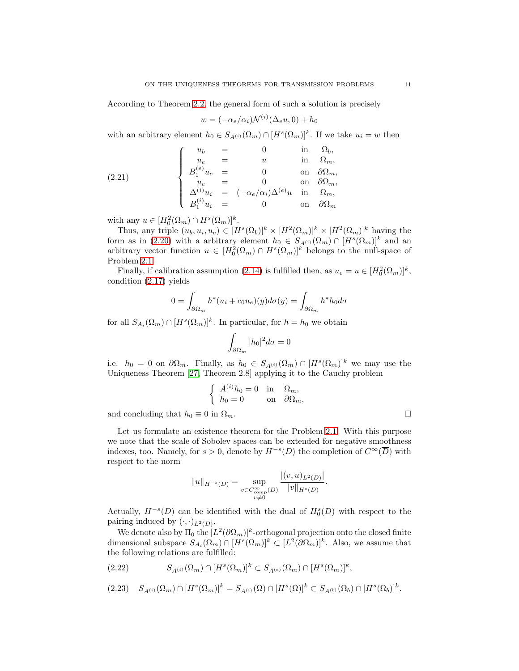According to Theorem [2.2,](#page-8-2) the general form of such a solution is precisely

$$
w = (-\alpha_e/\alpha_i)\mathcal{N}^{(i)}(\Delta_e u, 0) + h_0
$$

with an arbitrary element  $h_0 \in S_{A^{(i)}}(\Omega_m) \cap [H^s(\Omega_m)]^k$ . If we take  $u_i = w$  then

(2.21) 
$$
\begin{cases}\n u_b &= 0 \quad \text{in} \quad \Omega_b, \\
 u_e &= u \quad \text{in} \quad \Omega_m, \\
 B_1^{(e)} u_e &= 0 \quad \text{on} \quad \partial \Omega_m, \\
 u_e &= 0 \quad \text{on} \quad \partial \Omega_m, \\
 \Delta^{(i)} u_i &= (-\alpha_e/\alpha_i) \Delta^{(e)} u \quad \text{in} \quad \Omega_m, \\
 B_1^{(i)} u_i &= 0 \quad \text{on} \quad \partial \Omega_m\n\end{cases}
$$

with any  $u \in [H_0^2(\Omega_m) \cap H^s(\Omega_m)]^k$ .

Thus, any triple  $(u_b, u_i, u_e) \in [H^s(\Omega_b)]^k \times [H^2(\Omega_m)]^k \times [H^2(\Omega_m)]^k$  having the form as in [\(2.20\)](#page-9-1) with a arbitrary element  $h_0 \in S_{A^{(i)}}(\Omega_m) \cap [H^s(\Omega_m)]^k$  and an arbitrary vector function  $u \in [H_0^2(\Omega_m) \cap H^s(\Omega_m)]^k$  belongs to the null-space of Problem [2.1.](#page-7-0)

Finally, if calibration assumption [\(2.14\)](#page-7-7) is fulfilled then, as  $u_e = u \in [H_0^2(\Omega_m)]^k$ , condition [\(2.17\)](#page-8-0) yields

$$
0 = \int_{\partial \Omega_m} h^*(u_i + c_0 u_e)(y) d\sigma(y) = \int_{\partial \Omega_m} h^* h_0 d\sigma
$$

for all  $S_{A_i}(\Omega_m) \cap [H^s(\Omega_m)]^k$ . In particular, for  $h = h_0$  we obtain

$$
\int_{\partial\Omega_m} |h_0|^2 d\sigma = 0
$$

i.e.  $h_0 = 0$  on  $\partial \Omega_m$ . Finally, as  $h_0 \in S_{A^{(i)}}(\Omega_m) \cap [H^s(\Omega_m)]^k$  we may use the Uniqueness Theorem [\[27,](#page-23-16) Theorem 2.8] applying it to the Cauchy problem

$$
\begin{cases}\nA^{(i)}h_0 = 0 & \text{in} \quad \Omega_m, \\
h_0 = 0 & \text{on} \quad \partial\Omega_m,\n\end{cases}
$$

and concluding that  $h_0 \equiv 0$  in  $\Omega_m$ .

Let us formulate an existence theorem for the Problem [2.1.](#page-7-0) With this purpose we note that the scale of Sobolev spaces can be extended for negative smoothness indexes, too. Namely, for  $s > 0$ , denote by  $H^{-s}(D)$  the completion of  $C^{\infty}(\overline{D})$  with respect to the norm

$$
||u||_{H^{-s}(D)} = \sup_{\substack{v \in C_{\text{comp}}^{\infty}(D) \\ v \neq 0}} \frac{|(v, u)_{L^{2}(D)}|}{||v||_{H^{s}(D)}}.
$$

Actually,  $H^{-s}(D)$  can be identified with the dual of  $H_0^s(D)$  with respect to the pairing induced by  $(\cdot, \cdot)_{L^2(D)}$ .

We denote also by  $\Pi_0$  the  $[L^2(\partial \Omega_m)]^k$ -orthogonal projection onto the closed finite dimensional subspace  $S_{A_i}(\Omega_m) \cap [H^s(\Omega_m)]^k \subset [L^2(\partial \Omega_m)]^k$ . Also, we assume that the following relations are fulfilled:

<span id="page-10-0"></span>
$$
(2.22) \tSA(i)(\Omegam) \cap [Hs(\Omegam)]k \subset SA(e)(\Omegam) \cap [Hs(\Omegam)]k,
$$

<span id="page-10-1"></span>
$$
(2.23) \quad S_{A^{(i)}}(\Omega_m) \cap [H^s(\Omega_m)]^k = S_{A^{(i)}}(\Omega) \cap [H^s(\Omega)]^k \subset S_{A^{(b)}}(\Omega_b) \cap [H^s(\Omega_b)]^k.
$$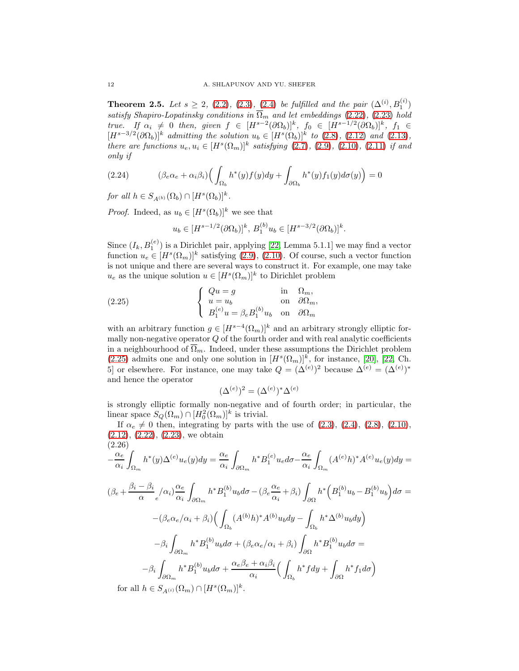<span id="page-11-0"></span>**Theorem 2.5.** Let  $s \geq 2$ , [\(2.2\)](#page-6-1), [\(2.3\)](#page-6-3), [\(2.4\)](#page-6-2) be fulfilled and the pair  $(\Delta^{(i)}, B_1^{(i)})$ satisfy Shapiro-Lopatinsky conditions in  $\overline{\Omega}_m$  and let embeddings [\(2.22\)](#page-10-0), [\(2.23\)](#page-10-1) hold true. If  $\alpha_i \neq 0$  then, given  $f \in [H^{s-2}(\partial \Omega_b)]^k$ ,  $f_0 \in [H^{s-1/2}(\partial \Omega_b)]^k$ ,  $f_1 \in$  $[H^{s-3/2}(\partial\Omega_b)]^k$  admitting the solution  $u_b \in [H^s(\Omega_b)]^k$  to [\(2.8\)](#page-7-4), [\(2.12\)](#page-7-5) and [\(2.13\)](#page-7-6), there are functions  $u_e, u_i \in [H^s(\Omega_m)]^k$  satisfying [\(2.7\)](#page-7-1), [\(2.9\)](#page-7-8), [\(2.10\)](#page-7-9), [\(2.11\)](#page-7-2) if and only if

<span id="page-11-2"></span>(2.24) 
$$
(\beta_e \alpha_e + \alpha_i \beta_i) \Big( \int_{\Omega_b} h^*(y) f(y) dy + \int_{\partial \Omega_b} h^*(y) f_1(y) d\sigma(y) \Big) = 0
$$

for all  $h \in S_{A^{(b)}}(\Omega_b) \cap [H^s(\Omega_b)]^k$ .

*Proof.* Indeed, as  $u_b \in [H^s(\Omega_b)]^k$  we see that

<span id="page-11-1"></span>
$$
u_b \in [H^{s-1/2}(\partial \Omega_b)]^k, B_1^{(b)} u_b \in [H^{s-3/2}(\partial \Omega_b)]^k.
$$

Since  $(I_k, B_1^{(e)})$  is a Dirichlet pair, applying [\[22,](#page-23-8) Lemma 5.1.1] we may find a vector function  $u_e \in [H^s(\Omega_m)]^k$  satisfying [\(2.9\)](#page-7-8), [\(2.10\)](#page-7-9). Of course, such a vector function is not unique and there are several ways to construct it. For example, one may take  $u_e$  as the unique solution  $u \in [H^s(\Omega_m)]^k$  to Dirichlet problem

(2.25) 
$$
\begin{cases} Qu = g & \text{in } \Omega_m, \\ u = u_b & \text{on } \partial\Omega_m, \\ B_1^{(e)}u = \beta_e B_1^{(b)} u_b & \text{on } \partial\Omega_m \end{cases}
$$

with an arbitrary function  $g \in [H^{s-4}(\Omega_m)]^k$  and an arbitrary strongly elliptic formally non-negative operator  $Q$  of the fourth order and with real analytic coefficients in a neighbourhood of  $\overline{\Omega}_m$ . Indeed, under these assumptions the Dirichlet problem [\(2.25\)](#page-11-1) admits one and only one solution in  $[H<sup>s</sup>(\Omega<sub>m</sub>)]<sup>k</sup>$ , for instance, [\[20\]](#page-23-7), [\[22,](#page-23-8) Ch. 5] or elsewhere. For instance, one may take  $Q = (\Delta^{(e)})^2$  because  $\Delta^{(e)} = (\Delta^{(e)})^*$ and hence the operator

$$
(\Delta^{(e)})^2 = (\Delta^{(e)})^* \Delta^{(e)}
$$

is strongly elliptic formally non-negative and of fourth order; in particular, the linear space  $S_Q(\Omega_m) \cap [H_0^2(\Omega_m)]^k$  is trivial.

If  $\alpha_e \neq 0$  then, integrating by parts with the use of [\(2.3\)](#page-6-3), [\(2.4\)](#page-6-2), [\(2.8\)](#page-7-4), [\(2.10\)](#page-7-9),  $(2.12), (2.22), (2.23),$  $(2.12), (2.22), (2.23),$  $(2.12), (2.22), (2.23),$  $(2.12), (2.22), (2.23),$  $(2.12), (2.22), (2.23),$  $(2.12), (2.22), (2.23),$  we obtain  $(2.26)$ 

<span id="page-11-3"></span>
$$
\frac{\alpha_e}{\alpha_i} \int_{\Omega_m} h^*(y) \Delta^{(e)} u_e(y) dy = \frac{\alpha_e}{\alpha_i} \int_{\partial \Omega_m} h^* B_1^{(e)} u_e d\sigma - \frac{\alpha_e}{\alpha_i} \int_{\Omega_m} (A^{(e)} h)^* A^{(e)} u_e(y) dy =
$$
  

$$
(\beta_e + \frac{\beta_i - \beta_i}{\alpha} \int_{\partial \Omega} \alpha_i) \frac{\alpha_e}{\alpha_i} \int_{\partial \Omega_m} h^* B_1^{(b)} u_b d\sigma - (\beta_e \frac{\alpha_e}{\alpha_i} + \beta_i) \int_{\partial \Omega} h^* \Big( B_1^{(b)} u_b - B_1^{(b)} u_b \Big) d\sigma =
$$
  

$$
-(\beta_e \alpha_e / \alpha_i + \beta_i) \Big( \int_{\Omega_b} (A^{(b)} h)^* A^{(b)} u_b dy - \int_{\Omega_b} h^* \Delta^{(b)} u_b dy \Big)
$$
  

$$
-\beta_i \int_{\partial \Omega_m} h^* B_1^{(b)} u_b d\sigma + (\beta_e \alpha_e / \alpha_i + \beta_i) \int_{\partial \Omega} h^* B_1^{(b)} u_b d\sigma =
$$
  

$$
-\beta_i \int_{\partial \Omega_m} h^* B_1^{(b)} u_b d\sigma + \frac{\alpha_e \beta_e + \alpha_i \beta_i}{\alpha_i} \Big( \int_{\Omega_b} h^* f dy + \int_{\partial \Omega} h^* f_1 d\sigma \Big)
$$
for all  $b \in S$ . (Q. )  $\Omega$  [HS (Q. )]k

for all  $h \in S_{A^{(i)}}(\Omega_m) \cap [H^s(\Omega_m)]^k$ .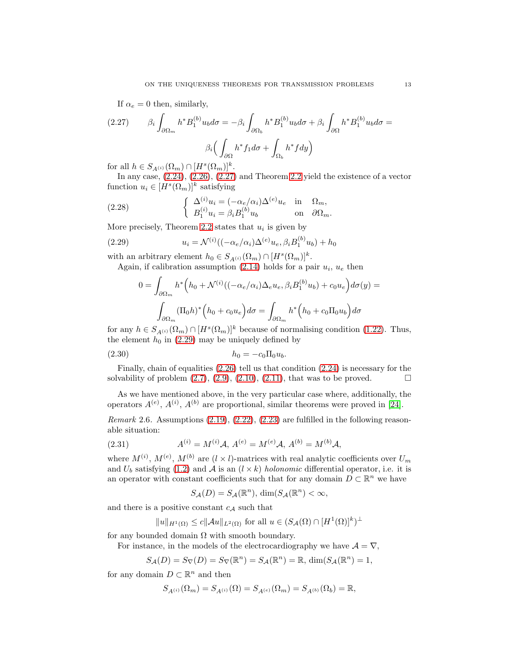<span id="page-12-0"></span>If  $\alpha_e = 0$  then, similarly,

$$
(2.27) \qquad \beta_i \int_{\partial \Omega_m} h^* B_1^{(b)} u_b d\sigma = -\beta_i \int_{\partial \Omega_b} h^* B_1^{(b)} u_b d\sigma + \beta_i \int_{\partial \Omega} h^* B_1^{(b)} u_b d\sigma =
$$

$$
\beta_i \Big( \int_{\partial \Omega} h^* f_1 d\sigma + \int_{\Omega_b} h^* f dy \Big)
$$

for all  $h \in S_{A^{(i)}}(\Omega_m) \cap [H^s(\Omega_m)]^k$ .

In any case, [\(2.24\)](#page-11-2), [\(2.26\)](#page-11-3), [\(2.27\)](#page-12-0) and Theorem [2.2](#page-8-2) yield the existence of a vector function  $u_i \in [H^s(\Omega_m)]^k$  satisfying

(2.28) 
$$
\begin{cases} \Delta^{(i)} u_i = (-\alpha_e/\alpha_i) \Delta^{(e)} u_e & \text{in} \quad \Omega_m, \\ B_1^{(i)} u_i = \beta_i B_1^{(b)} u_b & \text{on} \quad \partial \Omega_m. \end{cases}
$$

More precisely, Theorem [2.2](#page-8-2) states that  $u_i$  is given by

(2.29) 
$$
u_i = \mathcal{N}^{(i)}((-\alpha_e/\alpha_i)\Delta^{(e)}u_e, \beta_i B_1^{(b)}u_b) + h_0
$$

with an arbitrary element  $h_0 \in S_{A^{(i)}}(\Omega_m) \cap [H^s(\Omega_m)]^k$ .

Again, if calibration assumption [\(2.14\)](#page-7-7) holds for a pair  $u_i$ ,  $u_e$  then

<span id="page-12-3"></span><span id="page-12-1"></span>
$$
0 = \int_{\partial\Omega_m} h^* \Big( h_0 + \mathcal{N}^{(i)}((-\alpha_e/\alpha_i)\Delta_e u_e, \beta_i B_1^{(b)} u_b) + c_0 u_e \Big) d\sigma(y) =
$$

$$
\int_{\partial\Omega_m} (\Pi_0 h)^* \Big( h_0 + c_0 u_e \Big) d\sigma = \int_{\partial\Omega_m} h^* \Big( h_0 + c_0 \Pi_0 u_b \Big) d\sigma
$$

for any  $h \in S_{A^{(i)}}(\Omega_m) \cap [H^s(\Omega_m)]^k$  because of normalising condition [\(1.22\)](#page-4-3). Thus, the element  $h_0$  in [\(2.29\)](#page-12-1) may be uniquely defined by

(2.30) 
$$
h_0 = -c_0 \Pi_0 u_b.
$$

Finally, chain of equalities [\(2.26\)](#page-11-3) tell us that condition [\(2.24\)](#page-11-2) is necessary for the solvability of problem  $(2.7), (2.9), (2.10), (2.11)$  $(2.7), (2.9), (2.10), (2.11)$  $(2.7), (2.9), (2.10), (2.11)$  $(2.7), (2.9), (2.10), (2.11)$  $(2.7), (2.9), (2.10), (2.11)$  $(2.7), (2.9), (2.10), (2.11)$ , that was to be proved.

As we have mentioned above, in the very particular case where, additionally, the operators  $A^{(e)}$ ,  $A^{(i)}$ ,  $A^{(b)}$  are proportional, similar theorems were proved in [\[24\]](#page-23-13).

Remark 2.6. Assumptions  $(2.19)$ ,  $(2.22)$ ,  $(2.23)$  are fulfilled in the following reasonable situation:

(2.31) 
$$
A^{(i)} = M^{(i)} \mathcal{A}, A^{(e)} = M^{(e)} \mathcal{A}, A^{(b)} = M^{(b)} \mathcal{A},
$$

where  $M^{(i)}$ ,  $M^{(e)}$ ,  $M^{(b)}$  are  $(l \times l)$ -matrices with real analytic coefficients over  $U_m$ and  $U_b$  satisfying [\(1.2\)](#page-2-4) and A is an  $(l \times k)$  holonomic differential operator, i.e. it is an operator with constant coefficients such that for any domain  $D \subset \mathbb{R}^n$  we have

<span id="page-12-2"></span>
$$
S_{\mathcal{A}}(D) = S_{\mathcal{A}}(\mathbb{R}^n), \, \dim(S_{\mathcal{A}}(\mathbb{R}^n) < \infty)
$$

and there is a positive constant  $c_{\mathcal{A}}$  such that

$$
||u||_{H^1(\Omega)} \le c||\mathcal{A}u||_{L^2(\Omega)} \text{ for all } u \in (S_{\mathcal{A}}(\Omega) \cap [H^1(\Omega)]^k)^{\perp}
$$

for any bounded domain  $\Omega$  with smooth boundary.

For instance, in the models of the electrocardiography we have  $A = \nabla$ ,

$$
S_{\mathcal{A}}(D)=S_{\nabla}(D)=S_{\nabla}(\mathbb{R}^n)=S_{\mathcal{A}}(\mathbb{R}^n)=\mathbb{R},\, \dim(S_{\mathcal{A}}(\mathbb{R}^n)=1,
$$

for any domain  $D \subset \mathbb{R}^n$  and then

$$
S_{A^{(i)}}(\Omega_m)=S_{A^{(i)}}(\Omega)=S_{A^{(e)}}(\Omega_m)=S_{A^{(b)}}(\Omega_b)=\mathbb{R},
$$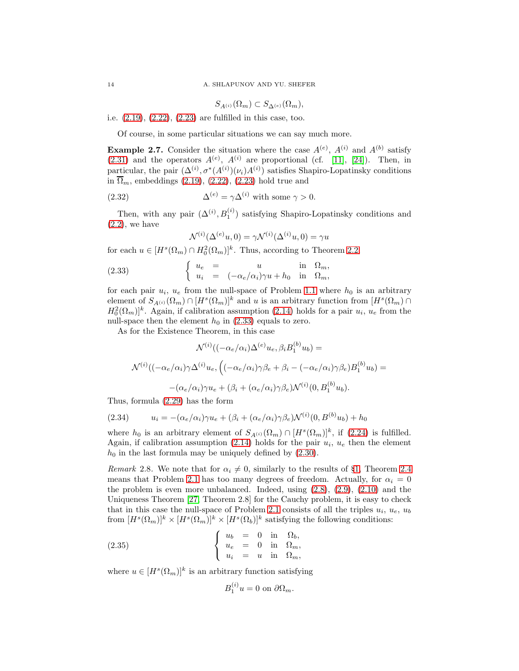$$
S_{A^{(i)}}(\Omega_m) \subset S_{\Delta^{(e)}}(\Omega_m),
$$

i.e. [\(2.19\)](#page-9-2), [\(2.22\)](#page-10-0), [\(2.23\)](#page-10-1) are fulfilled in this case, too.

Of course, in some particular situations we can say much more.

<span id="page-13-2"></span>**Example 2.7.** Consider the situation where the case  $A^{(e)}$ ,  $A^{(i)}$  and  $A^{(b)}$  satisfy  $(2.31)$  and the operators  $A^{(e)}$ ,  $A^{(i)}$  are proportional (cf. [\[11\]](#page-23-12), [\[24\]](#page-23-13)). Then, in particular, the pair  $(\Delta^{(i)}, \sigma^*(A^{(i)})(\nu_i)A^{(i)})$  satisfies Shapiro-Lopatinsky conditions in  $\overline{\Omega}_m$ , embeddings [\(2.19\)](#page-9-2), [\(2.22\)](#page-10-0), [\(2.23\)](#page-10-1) hold true and

(2.32) 
$$
\Delta^{(e)} = \gamma \Delta^{(i)} \text{ with some } \gamma > 0.
$$

Then, with any pair  $(\Delta^{(i)}, B_1^{(i)})$  satisfying Shapiro-Lopatinsky conditions and  $(2.2)$ , we have

<span id="page-13-3"></span><span id="page-13-0"></span>
$$
\mathcal{N}^{(i)}(\Delta^{(e)}u,0) = \gamma \mathcal{N}^{(i)}(\Delta^{(i)}u,0) = \gamma u
$$

for each  $u \in [H^s(\Omega_m) \cap H_0^2(\Omega_m)]^k$ . Thus, according to Theorem [2.2,](#page-8-2)

(2.33) 
$$
\begin{cases} u_e = u \quad \text{in} \quad \Omega_m, \\ u_i = (-\alpha_e/\alpha_i)\gamma u + h_0 \quad \text{in} \quad \Omega_m, \end{cases}
$$

for each pair  $u_i$ ,  $u_e$  from the null-space of Problem [1.1](#page-3-8) where  $h_0$  is an arbitrary element of  $S_{A^{(i)}}(\Omega_m) \cap [H^s(\Omega_m)]^k$  and u is an arbitrary function from  $[H^s(\Omega_m) \cap$  $H_0^2(\Omega_m)$ <sup>k</sup>. Again, if calibration assumption [\(2.14\)](#page-7-7) holds for a pair  $u_i$ ,  $u_e$  from the null-space then the element  $h_0$  in [\(2.33\)](#page-13-0) equals to zero.

As for the Existence Theorem, in this case

$$
\mathcal{N}^{(i)}((-\alpha_e/\alpha_i)\Delta^{(e)}u_e, \beta_i B_1^{(b)}u_b) =
$$
  

$$
\mathcal{N}^{(i)}((-\alpha_e/\alpha_i)\gamma\Delta^{(i)}u_e, ((-\alpha_e/\alpha_i)\gamma\beta_e + \beta_i - (-\alpha_e/\alpha_i)\gamma\beta_e)B_1^{(b)}u_b) =
$$
  

$$
-(\alpha_e/\alpha_i)\gamma u_e + (\beta_i + (\alpha_e/\alpha_i)\gamma\beta_e)\mathcal{N}^{(i)}(0, B_1^{(b)}u_b).
$$

Thus, formula [\(2.29\)](#page-12-1) has the form

(2.34) 
$$
u_i = -(\alpha_e/\alpha_i)\gamma u_e + (\beta_i + (\alpha_e/\alpha_i)\gamma \beta_e)\mathcal{N}^{(i)}(0, B^{(b)}u_b) + h_0
$$

where  $h_0$  is an arbitrary element of  $S_{A^{(i)}}(\Omega_m) \cap [H^s(\Omega_m)]^k$ , if [\(2.24\)](#page-11-2) is fulfilled. Again, if calibration assumption [\(2.14\)](#page-7-7) holds for the pair  $u_i$ ,  $u_e$  then the element  $h_0$  in the last formula may be uniquely defined by  $(2.30)$ .

<span id="page-13-1"></span>Remark 2.8. We note that for  $\alpha_i \neq 0$ , similarly to the results of §[1,](#page-1-0) Theorem [2.4](#page-9-0) means that Problem [2.1](#page-7-0) has too many degrees of freedom. Actually, for  $\alpha_i = 0$ the problem is even more unbalanced. Indeed, using [\(2.8\)](#page-7-4), [\(2.9\)](#page-7-8), [\(2.10\)](#page-7-9) and the Uniqueness Theorem [\[27,](#page-23-16) Theorem 2.8] for the Cauchy problem, it is easy to check that in this case the null-space of Problem [2.1](#page-7-0) consists of all the triples  $u_i, u_e, u_b$ from  $[H^s(\Omega_m)]^k \times [H^s(\Omega_m)]^k \times [H^s(\Omega_b)]^k$  satisfying the following conditions:

(2.35) 
$$
\begin{cases} u_b = 0 \text{ in } \Omega_b, \\ u_e = 0 \text{ in } \Omega_m, \\ u_i = u \text{ in } \Omega_m, \end{cases}
$$

where  $u \in [H^s(\Omega_m)]^k$  is an arbitrary function satisfying

 $\langle i \rangle$ 

$$
B_1^{(i)}u = 0 \text{ on } \partial\Omega_m.
$$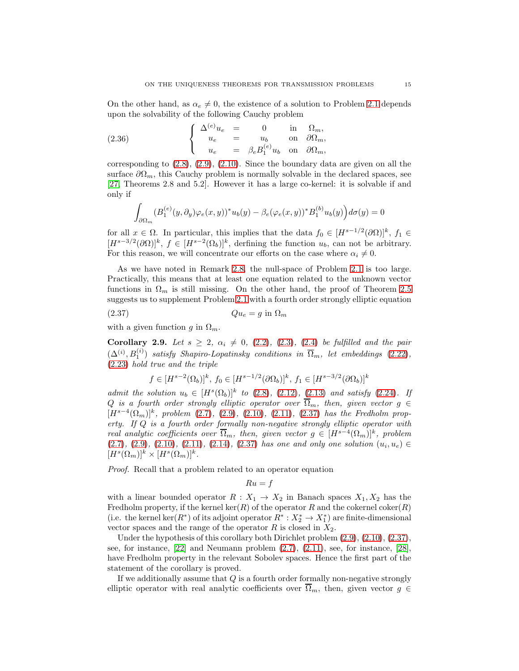On the other hand, as  $\alpha_e \neq 0$ , the existence of a solution to Problem [2.1](#page-7-0) depends upon the solvability of the following Cauchy problem

(2.36) 
$$
\begin{cases} \Delta^{(e)} u_e = 0 & \text{in } \Omega_m, \\ u_e = u_b & \text{on } \partial \Omega_m, \\ u_e = \beta_e B_1^{(e)} u_b & \text{on } \partial \Omega_m, \end{cases}
$$

corresponding to  $(2.8)$ ,  $(2.9)$ ,  $(2.10)$ . Since the boundary data are given on all the surface  $\partial \Omega_m$ , this Cauchy problem is normally solvable in the declared spaces, see [\[27,](#page-23-16) Theorems 2.8 and 5.2]. However it has a large co-kernel: it is solvable if and only if

$$
\int_{\partial\Omega_m} (B_1^{(e)}(y,\partial_y)\varphi_e(x,y))^* u_b(y) - \beta_e(\varphi_e(x,y))^* B_1^{(b)} u_b(y) d\sigma(y) = 0
$$

for all  $x \in \Omega$ . In particular, this implies that the data  $f_0 \in [H^{s-1/2}(\partial \Omega)]^k$ ,  $f_1 \in$  $[H^{s-3/2}(\partial\Omega)]^k$ ,  $f \in [H^{s-2}(\Omega_b)]^k$ , derfining the function  $u_b$ , can not be arbitrary. For this reason, we will concentrate our efforts on the case where  $\alpha_i \neq 0$ .

As we have noted in Remark [2.8,](#page-13-1) the null-space of Problem [2.1](#page-7-0) is too large. Practically, this means that at least one equation related to the unknown vector functions in  $\Omega_m$  is still missing. On the other hand, the proof of Theorem [2.5](#page-11-0) suggests us to supplement Problem [2.1](#page-7-0) with a fourth order strongly elliptic equation

$$
(2.37) \t\t Qu_e = g \text{ in } \Omega_m
$$

with a given function g in  $\Omega_m$ .

<span id="page-14-1"></span>Corollary 2.9. Let  $s \geq 2$ ,  $\alpha_i \neq 0$ , [\(2.2\)](#page-6-1), [\(2.3\)](#page-6-3), [\(2.4\)](#page-6-2) be fulfilled and the pair  $(\Delta^{(i)}, B_1^{(i)})$  satisfy Shapiro-Lopatinsky conditions in  $\overline{\Omega}_m$ , let embeddings [\(2.22\)](#page-10-0), [\(2.23\)](#page-10-1) hold true and the triple

<span id="page-14-0"></span>
$$
f \in [H^{s-2}(\Omega_b)]^k
$$
,  $f_0 \in [H^{s-1/2}(\partial \Omega_b)]^k$ ,  $f_1 \in [H^{s-3/2}(\partial \Omega_b)]^k$ 

admit the solution  $u_b \in [H^s(\Omega_b)]^k$  to [\(2.8\)](#page-7-4), [\(2.12\)](#page-7-5), [\(2.13\)](#page-7-6) and satisfy [\(2.24\)](#page-11-2). If Q is a fourth order strongly elliptic operator over  $\overline{\Omega}_m$ , then, given vector  $g \in$  $[H^{s-4}(\Omega_m)]^k$ , problem [\(2.7\)](#page-7-1), [\(2.9\)](#page-7-8), [\(2.10\)](#page-7-9), [\(2.11\)](#page-7-2), [\(2.37\)](#page-14-0) has the Fredholm property. If Q is a fourth order formally non-negative strongly elliptic operator with real analytic coefficients over  $\overline{\Omega}_m$ , then, given vector  $g \in [H^{s-4}(\Omega_m)]^k$ , problem  $(2.7), (2.9), (2.10), (2.11), (2.14), (2.37)$  $(2.7), (2.9), (2.10), (2.11), (2.14), (2.37)$  $(2.7), (2.9), (2.10), (2.11), (2.14), (2.37)$  $(2.7), (2.9), (2.10), (2.11), (2.14), (2.37)$  $(2.7), (2.9), (2.10), (2.11), (2.14), (2.37)$  $(2.7), (2.9), (2.10), (2.11), (2.14), (2.37)$  $(2.7), (2.9), (2.10), (2.11), (2.14), (2.37)$  $(2.7), (2.9), (2.10), (2.11), (2.14), (2.37)$  $(2.7), (2.9), (2.10), (2.11), (2.14), (2.37)$  $(2.7), (2.9), (2.10), (2.11), (2.14), (2.37)$  $(2.7), (2.9), (2.10), (2.11), (2.14), (2.37)$  has one and only one solution  $(u_i, u_e) \in$  $[H<sup>s</sup>(\Omega<sub>m</sub>)]<sup>k</sup> \times [H<sup>s</sup>(\Omega<sub>m</sub>)]<sup>k</sup>.$ 

Proof. Recall that a problem related to an operator equation

$$
Ru = f
$$

with a linear bounded operator  $R: X_1 \to X_2$  in Banach spaces  $X_1, X_2$  has the Fredholm property, if the kernel ker(R) of the operator R and the cokernel coker(R) (i.e. the kernel ker $(R^*)$  of its adjoint operator  $R^*: X_2^* \to X_1^*$ ) are finite-dimensional vector spaces and the range of the operator  $R$  is closed in  $X_2$ .

Under the hypothesis of this corollary both Dirichlet problem [\(2.9\)](#page-7-8), [\(2.10\)](#page-7-9), [\(2.37\)](#page-14-0), see, for instance,  $|22|$  and Neumann problem  $(2.7)$ ,  $(2.11)$ , see, for instance,  $|28|$ , have Fredholm property in the relevant Sobolev spaces. Hence the first part of the statement of the corollary is proved.

If we additionally assume that  $Q$  is a fourth order formally non-negative strongly elliptic operator with real analytic coefficients over  $\Omega_m$ , then, given vector  $g \in$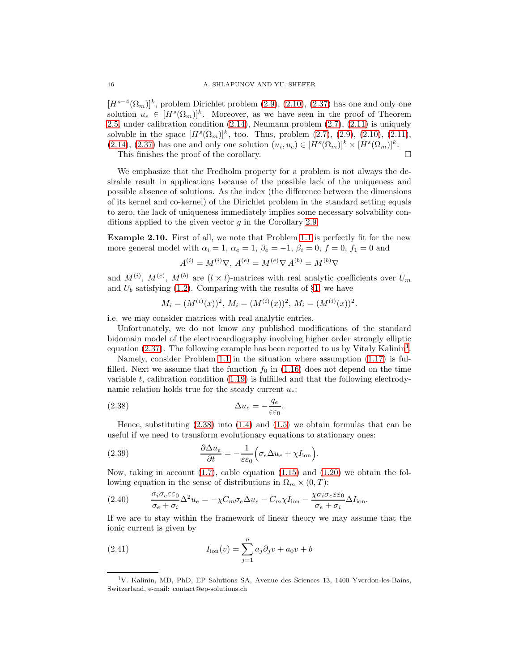$[H^{s-4}(\Omega_m)]^k$ , problem Dirichlet problem  $(2.9)$ ,  $(2.10)$ ,  $(2.37)$  has one and only one solution  $u_e \in [H^s(\Omega_m)]^k$ . Moreover, as we have seen in the proof of Theorem [2.5,](#page-11-0) under calibration condition [\(2.14\)](#page-7-7), Neumann problem [\(2.7\)](#page-7-1), [\(2.11\)](#page-7-2) is uniquely solvable in the space  $[H^{s}(\Omega_{m})]^{k}$ , too. Thus, problem  $(2.7)$ ,  $(2.9)$ ,  $(2.10)$ ,  $(2.11)$ ,  $(2.14), (2.37)$  $(2.14), (2.37)$  $(2.14), (2.37)$  has one and only one solution  $(u_i, u_e) \in [H^s(\Omega_m)]^k \times [H^s(\Omega_m)]^k$ . This finishes the proof of the corollary.

We emphasize that the Fredholm property for a problem is not always the desirable result in applications because of the possible lack of the uniqueness and possible absence of solutions. As the index (the difference between the dimensions of its kernel and co-kernel) of the Dirichlet problem in the standard setting equals to zero, the lack of uniqueness immediately implies some necessary solvability conditions applied to the given vector  $g$  in the Corollary [2.9.](#page-14-1)

<span id="page-15-3"></span>Example 2.10. First of all, we note that Problem [1.1](#page-3-8) is perfectly fit for the new more general model with  $\alpha_i = 1$ ,  $\alpha_e = 1$ ,  $\beta_e = -1$ ,  $\beta_i = 0$ ,  $f = 0$ ,  $f_1 = 0$  and

$$
A^{(i)} = M^{(i)} \nabla, A^{(e)} = M^{(e)} \nabla A^{(b)} = M^{(b)} \nabla
$$

and  $M^{(i)}$ ,  $M^{(e)}$ ,  $M^{(b)}$  are  $(l \times l)$ -matrices with real analytic coefficients over  $U_m$ and  $U_b$  satisfying [\(1.2\)](#page-2-4). Comparing with the results of §[1,](#page-1-0) we have

<span id="page-15-1"></span>
$$
M_i = (M^{(i)}(x))^2
$$
,  $M_i = (M^{(i)}(x))^2$ ,  $M_i = (M^{(i)}(x))^2$ .

i.e. we may consider matrices with real analytic entries.

Unfortunately, we do not know any published modifications of the standard bidomain model of the electrocardiography involving higher order strongly elliptic equation  $(2.37)$ . The following example has been reported to us by Vitaly Kalinin<sup>[1](#page-15-0)</sup>.

Namely, consider Problem [1.1](#page-3-8) in the situation where assumption [\(1.17\)](#page-4-4) is fulfilled. Next we assume that the function  $f_0$  in [\(1.16\)](#page-3-9) does not depend on the time variable t, calibration condition  $(1.19)$  is fulfilled and that the following electrodynamic relation holds true for the steady current  $u_e$ .

(2.38) 
$$
\Delta u_e = -\frac{q_e}{\varepsilon \varepsilon_0}.
$$

Hence, substituting  $(2.38)$  into  $(1.4)$  and  $(1.5)$  we obtain formulas that can be useful if we need to transform evolutionary equations to stationary ones:

(2.39) 
$$
\frac{\partial \Delta u_e}{\partial t} = -\frac{1}{\varepsilon \varepsilon_0} \Big( \sigma_e \Delta u_e + \chi I_{\text{ion}} \Big).
$$

Now, taking in account  $(1.7)$ , cable equation  $(1.15)$  and  $(1.20)$  we obtain the following equation in the sense of distributions in  $\Omega_m \times (0, T)$ :

<span id="page-15-2"></span>(2.40) 
$$
\frac{\sigma_i \sigma_e \varepsilon \varepsilon_0}{\sigma_e + \sigma_i} \Delta^2 u_e = -\chi C_m \sigma_e \Delta u_e - C_m \chi I_{\text{ion}} - \frac{\chi \sigma_i \sigma_e \varepsilon \varepsilon_0}{\sigma_e + \sigma_i} \Delta I_{\text{ion}}.
$$

If we are to stay within the framework of linear theory we may assume that the ionic current is given by

(2.41) 
$$
I_{\text{ion}}(v) = \sum_{j=1}^{n} a_j \partial_j v + a_0 v + b
$$

<span id="page-15-0"></span><sup>1</sup>V. Kalinin, MD, PhD, EP Solutions SA, Avenue des Sciences 13, 1400 Yverdon-les-Bains, Switzerland, e-mail: contact@ep-solutions.ch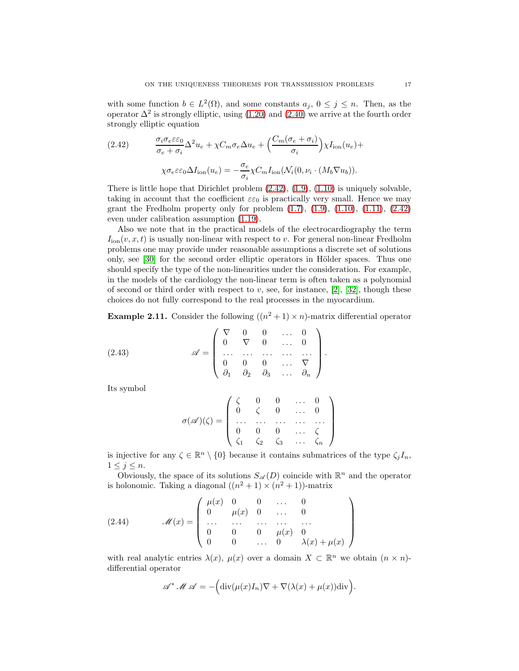with some function  $b \in L^2(\Omega)$ , and some constants  $a_j$ ,  $0 \le j \le n$ . Then, as the operator  $\Delta^2$  is strongly elliptic, using [\(1.20\)](#page-4-1) and [\(2.40\)](#page-15-2) we arrive at the fourth order strongly elliptic equation

<span id="page-16-0"></span>(2.42) 
$$
\frac{\sigma_i \sigma_e \varepsilon \varepsilon_0}{\sigma_e + \sigma_i} \Delta^2 u_e + \chi C_m \sigma_e \Delta u_e + \left(\frac{C_m(\sigma_e + \sigma_i)}{\sigma_i}\right) \chi I_{\text{ion}}(u_e) + \chi \sigma_e \varepsilon \varepsilon_0 \Delta I_{\text{ion}}(u_e) = -\frac{\sigma_e}{\sigma_i} \chi C_m I_{\text{ion}}(\mathcal{N}_i(0, \nu_i \cdot (M_b \nabla u_b)).
$$

There is little hope that Dirichlet problem  $(2.42)$ ,  $(1.9)$ ,  $(1.10)$  is uniquely solvable, taking in account that the coefficient  $\varepsilon \varepsilon_0$  is practically very small. Hence we may grant the Fredholm property only for problem  $(1.7)$ ,  $(1.9)$ ,  $(1.10)$ ,  $(1.11)$ ,  $(2.42)$ even under calibration assumption [\(1.19\)](#page-4-2).

Also we note that in the practical models of the electrocardiography the term  $I_{\text{ion}}(v, x, t)$  is usually non-linear with respect to v. For general non-linear Fredholm problems one may provide under reasonable assumptions a discrete set of solutions only, see  $[30]$  for the second order elliptic operators in Hölder spaces. Thus one should specify the type of the non-linearities under the consideration. For example, in the models of the cardiology the non-linear term is often taken as a polynomial of second or third order with respect to  $v$ , see, for instance, [\[2\]](#page-22-1), [\[32\]](#page-24-0), though these choices do not fully correspond to the real processes in the myocardium.

**Example 2.11.** Consider the following  $((n^2 + 1) \times n)$ -matrix differential operator

(2.43) 
$$
\mathscr{A} = \begin{pmatrix} \nabla & 0 & 0 & \dots & 0 \\ 0 & \nabla & 0 & \dots & 0 \\ \dots & \dots & \dots & \dots & \dots \\ 0 & 0 & 0 & \dots & \nabla \\ \partial_1 & \partial_2 & \partial_3 & \dots & \partial_n \end{pmatrix}.
$$

Its symbol

<span id="page-16-1"></span>
$$
\sigma(\mathscr{A})(\zeta) = \left( \begin{array}{cccc} \zeta & 0 & 0 & \dots & 0 \\ 0 & \zeta & 0 & \dots & 0 \\ \dots & \dots & \dots & \dots & \dots \\ 0 & 0 & 0 & \dots & \zeta \\ \zeta_1 & \zeta_2 & \zeta_3 & \dots & \zeta_n \end{array} \right)
$$

is injective for any  $\zeta \in \mathbb{R}^n \setminus \{0\}$  because it contains submatrices of the type  $\zeta_j I_n$ ,  $1\leq j\leq n$ .

Obviously, the space of its solutions  $S_{\mathscr{A}}(D)$  coincide with  $\mathbb{R}^n$  and the operator is holonomic. Taking a diagonal  $((n^2 + 1) \times (n^2 + 1))$ -matrix

<span id="page-16-2"></span>(2.44) 
$$
\mathcal{M}(x) = \begin{pmatrix} \mu(x) & 0 & 0 & \dots & 0 \\ 0 & \mu(x) & 0 & \dots & 0 \\ \dots & \dots & \dots & \dots & \dots \\ 0 & 0 & 0 & \mu(x) & 0 \\ 0 & 0 & \dots & 0 & \lambda(x) + \mu(x) \end{pmatrix}
$$

with real analytic entries  $\lambda(x)$ ,  $\mu(x)$  over a domain  $X \subset \mathbb{R}^n$  we obtain  $(n \times n)$ differential operator

$$
\mathscr{A}^* \mathscr{M} \mathscr{A} = -\Big(\text{div}(\mu(x)I_n)\nabla + \nabla(\lambda(x) + \mu(x))\text{div}\Big).
$$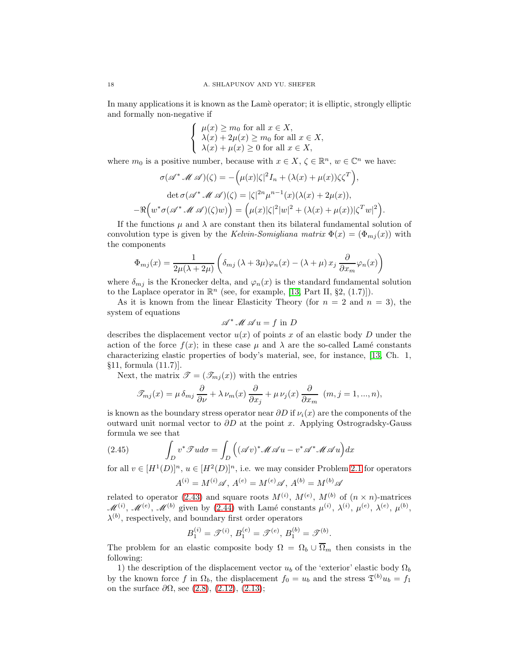In many applications it is known as the Lam`e operator; it is elliptic, strongly elliptic and formally non-negative if

$$
\begin{cases} \mu(x) \ge m_0 \text{ for all } x \in X, \\ \lambda(x) + 2\mu(x) \ge m_0 \text{ for all } x \in X, \\ \lambda(x) + \mu(x) \ge 0 \text{ for all } x \in X, \end{cases}
$$

where  $m_0$  is a positive number, because with  $x \in X$ ,  $\zeta \in \mathbb{R}^n$ ,  $w \in \mathbb{C}^n$  we have:

$$
\sigma(\mathscr{A}^* \mathscr{M} \mathscr{A})(\zeta) = -(\mu(x)|\zeta|^2 I_n + (\lambda(x) + \mu(x))\zeta \zeta^T),
$$
  
det  $\sigma(\mathscr{A}^* \mathscr{M} \mathscr{A})(\zeta) = |\zeta|^{2n} \mu^{n-1}(x)(\lambda(x) + 2\mu(x)),$   

$$
-\Re\Big(w^* \sigma(\mathscr{A}^* \mathscr{M} \mathscr{A})(\zeta)w)\Big) = (\mu(x)|\zeta|^2|w|^2 + (\lambda(x) + \mu(x))|\zeta^T w|^2).
$$

If the functions  $\mu$  and  $\lambda$  are constant then its bilateral fundamental solution of convolution type is given by the Kelvin-Somigliana matrix  $\Phi(x) = (\Phi_{m,i}(x))$  with the components

$$
\Phi_{mj}(x) = \frac{1}{2\mu(\lambda + 2\mu)} \left( \delta_{mj} (\lambda + 3\mu)\varphi_n(x) - (\lambda + \mu) x_j \frac{\partial}{\partial x_m} \varphi_n(x) \right)
$$

where  $\delta_{mj}$  is the Kronecker delta, and  $\varphi_n(x)$  is the standard fundamental solution to the Laplace operator in  $\mathbb{R}^n$  (see, for example, [\[13,](#page-23-20) Part II, §2, (1.7)]).

As it is known from the linear Elasticity Theory (for  $n = 2$  and  $n = 3$ ), the system of equations

$$
\mathscr{A}^* \mathscr{M} \mathscr{A} u = f \text{ in } D
$$

describes the displacement vector  $u(x)$  of points x of an elastic body D under the action of the force  $f(x)$ ; in these case  $\mu$  and  $\lambda$  are the so-called Lamé constants characterizing elastic properties of body's material, see, for instance, [\[13,](#page-23-20) Ch. 1, §11, formula (11.7)].

Next, the matrix  $\mathscr{T} = (\mathscr{T}_{mj}(x))$  with the entries

$$
\mathscr{T}_{mj}(x)=\mu\,\delta_{mj}\,\frac{\partial}{\partial\nu}+\lambda\,\nu_m(x)\,\frac{\partial}{\partial x_j}+\mu\,\nu_j(x)\,\frac{\partial}{\partial x_m}\ \ (m,j=1,...,n),
$$

is known as the boundary stress operator near  $\partial D$  if  $\nu_i(x)$  are the components of the outward unit normal vector to  $\partial D$  at the point x. Applying Ostrogradsky-Gauss formula we see that

(2.45) 
$$
\int_D v^* \mathcal{F} u d\sigma = \int_D \left( (\mathcal{A} v)^* \mathcal{M} \mathcal{A} u - v^* \mathcal{A}^* \mathcal{M} \mathcal{A} u \right) dx
$$

for all  $v \in [H^1(D)]^n$ ,  $u \in [H^2(D)]^n$ , i.e. we may consider Problem [2.1](#page-7-0) for operators

$$
A^{(i)} = M^{(i)} \mathscr{A}, A^{(e)} = M^{(e)} \mathscr{A}, A^{(b)} = M^{(b)} \mathscr{A}
$$

related to operator [\(2.43\)](#page-16-1) and square roots  $M^{(i)}$ ,  $M^{(e)}$ ,  $M^{(b)}$  of  $(n \times n)$ -matrices  $\mathscr{M}^{(i)}$ ,  $\mathscr{M}^{(e)}$ ,  $\mathscr{M}^{(b)}$  given by [\(2.44\)](#page-16-2) with Lamé constants  $\mu^{(i)}$ ,  $\lambda^{(i)}$ ,  $\mu^{(e)}$ ,  $\lambda^{(e)}$ ,  $\mu^{(b)}$ ,  $\lambda^{(b)}$ , respectively, and boundary first order operators

$$
B_1^{(i)} = \mathcal{T}^{(i)}, B_1^{(e)} = \mathcal{T}^{(e)}, B_1^{(b)} = \mathcal{T}^{(b)}.
$$

The problem for an elastic composite body  $\Omega = \Omega_b \cup \overline{\Omega}_m$  then consists in the following:

1) the description of the displacement vector  $u_b$  of the 'exterior' elastic body  $\Omega_b$ by the known force f in  $\Omega_b$ , the displacement  $f_0 = u_b$  and the stress  $\mathfrak{T}^{(b)} u_b = f_1$ on the surface  $\partial\Omega$ , see [\(2.8\)](#page-7-4), [\(2.12\)](#page-7-5), [\(2.13\)](#page-7-6);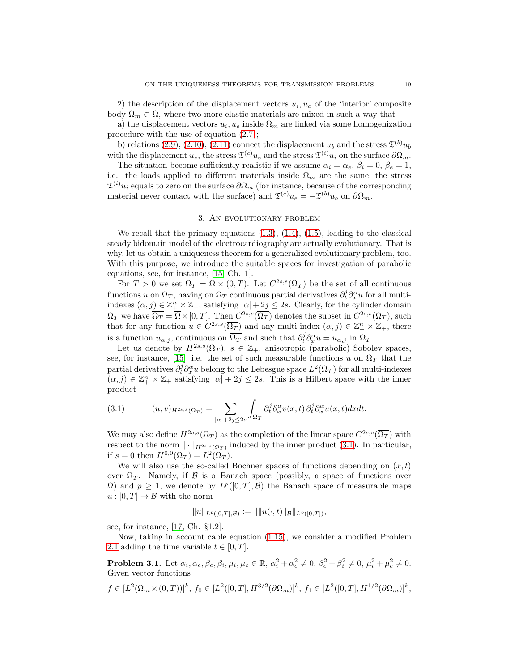2) the description of the displacement vectors  $u_i, u_e$  of the 'interior' composite body  $\Omega_m \subset \Omega$ , where two more elastic materials are mixed in such a way that

a) the displacement vectors  $u_i, u_e$  inside  $\Omega_m$  are linked via some homogenization procedure with the use of equation [\(2.7\)](#page-7-1);

b) relations [\(2.9\)](#page-7-8), [\(2.10\)](#page-7-9), [\(2.11\)](#page-7-2) connect the displacement  $u_b$  and the stress  $\mathfrak{T}^{(b)}u_b$ with the displacement  $u_e$ , the stress  $\mathfrak{T}^{(e)}u_e$  and the stress  $\mathfrak{T}^{(i)}u_i$  on the surface  $\partial\Omega_m$ .

The situation become sufficiently realistic if we assume  $\alpha_i = \alpha_e, \beta_i = 0, \beta_e = 1$ , i.e. the loads applied to different materials inside  $\Omega_m$  are the same, the stress  $\mathfrak{T}^{(i)}u_i$  equals to zero on the surface  $\partial\Omega_m$  (for instance, because of the corresponding material never contact with the surface) and  $\mathfrak{T}^{(e)}u_e = -\mathfrak{T}^{(b)}u_b$  on  $\partial\Omega_m$ .

## 3. An evolutionary problem

We recall that the primary equations  $(1.3)$ ,  $(1.4)$ ,  $(1.5)$ , leading to the classical steady bidomain model of the electrocardiography are actually evolutionary. That is why, let us obtain a uniqueness theorem for a generalized evolutionary problem, too. With this purpose, we introduce the suitable spaces for investigation of parabolic equations, see, for instance, [\[15,](#page-23-10) Ch. 1].

For  $T > 0$  we set  $\Omega_T = \Omega \times (0, T)$ . Let  $C^{2s,s}(\Omega_T)$  be the set of all continuous functions u on  $\Omega_T$ , having on  $\Omega_T$  continuous partial derivatives  $\partial_t^j \partial_x^{\alpha} u$  for all multiindexes  $(\alpha, j) \in \mathbb{Z}_{+}^{n} \times \mathbb{Z}_{+}$ , satisfying  $|\alpha| + 2j \leq 2s$ . Clearly, for the cylinder domain  $\Omega_T$  we have  $\overline{\Omega_T} = \overline{\Omega} \times [0, T]$ . Then  $C^{2s,s}(\overline{\Omega_T})$  denotes the subset in  $C^{2s,s}(\Omega_T)$ , such that for any function  $u \in C^{2s,s}(\overline{\Omega_T})$  and any multi-index  $(\alpha, j) \in \mathbb{Z}_+^n \times \mathbb{Z}_+$ , there is a function  $u_{\alpha,j}$ , continuous on  $\overline{\Omega_T}$  and such that  $\partial_t^j \partial_x^{\alpha} u = u_{\alpha,j}$  in  $\Omega_T$ .

Let us denote by  $H^{2s,s}(\Omega_T)$ ,  $s \in \mathbb{Z}_+$ , anisotropic (parabolic) Sobolev spaces, see, for instance, [\[15\]](#page-23-10), i.e. the set of such measurable functions u on  $\Omega_T$  that the partial derivatives  $\partial_t^j \partial_x^{\alpha} u$  belong to the Lebesgue space  $L^2(\Omega_T)$  for all multi-indexes  $(\alpha, j) \in \mathbb{Z}_{+}^{n} \times \mathbb{Z}_{+}$  satisfying  $|\alpha| + 2j \leq 2s$ . This is a Hilbert space with the inner product

<span id="page-18-0"></span>(3.1) 
$$
(u,v)_{H^{2s,s}(\Omega_T)} = \sum_{|\alpha|+2j\leq 2s} \int_{\Omega_T} \partial_t^j \partial_x^{\alpha} v(x,t) \partial_t^j \partial_x^{\alpha} u(x,t) dxdt.
$$

We may also define  $H^{2s,s}(\Omega_T)$  as the completion of the linear space  $C^{2s,s}(\overline{\Omega_T})$  with respect to the norm  $\|\cdot\|_{H^{2s,s}(\Omega_T)}$  induced by the inner product [\(3.1\)](#page-18-0). In particular, if  $s = 0$  then  $H^{0,0}(\Omega_T) = L^2(\Omega_T)$ .

We will also use the so-called Bochner spaces of functions depending on  $(x, t)$ over  $\Omega_T$ . Namely, if B is a Banach space (possibly, a space of functions over  $\Omega$ ) and  $p \geq 1$ , we denote by  $L^p([0,T], \mathcal{B})$  the Banach space of measurable maps  $u:[0,T] \to \mathcal{B}$  with the norm

$$
||u||_{L^p([0,T],\mathcal{B})} := ||||u(\cdot,t)||_{\mathcal{B}}||_{L^p([0,T])},
$$

see, for instance, [\[17,](#page-23-11) Ch. §1.2].

Now, taking in account cable equation [\(1.15\)](#page-3-10), we consider a modified Problem [2.1](#page-7-0) adding the time variable  $t \in [0, T]$ .

<span id="page-18-1"></span>**Problem 3.1.** Let  $\alpha_i, \alpha_e, \beta_e, \beta_i, \mu_i, \mu_e \in \mathbb{R}, \alpha_i^2 + \alpha_e^2 \neq 0, \beta_e^2 + \beta_i^2 \neq 0, \mu_i^2 + \mu_e^2 \neq 0.$ Given vector functions

$$
f \in [L^2(\Omega_m \times (0,T))]^k, \ f_0 \in [L^2([0,T],H^{3/2}(\partial \Omega_m)]^k, \ f_1 \in [L^2([0,T],H^{1/2}(\partial \Omega_m)]^k,
$$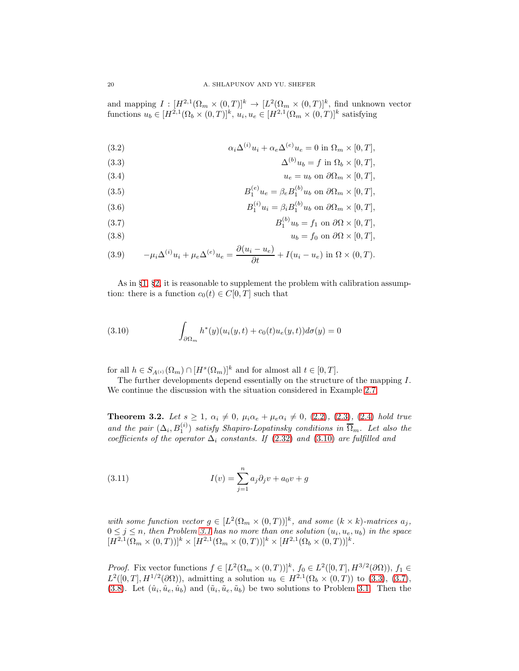and mapping  $I: [H^{2,1}(\Omega_m \times (0,T)]^k \to [L^2(\Omega_m \times (0,T)]^k, \text{ find unknown vector})$ functions  $u_b \in [H^{2,1}(\Omega_b \times (0,T)]^k, u_i, u_e \in [H^{2,1}(\Omega_m \times (0,T)]^k \text{ satisfying}]$ 

(3.2) 
$$
\alpha_i \Delta^{(i)} u_i + \alpha_e \Delta^{(e)} u_e = 0 \text{ in } \Omega_m \times [0, T],
$$

<span id="page-19-1"></span>(3.3) 
$$
\Delta^{(b)} u_b = f \text{ in } \Omega_b \times [0, T],
$$

(3.4) 
$$
u_e = u_b \text{ on } \partial \Omega_m \times [0, T],
$$

(3.5) 
$$
B_1^{(e)}u_e = \beta_e B_1^{(b)}u_b \text{ on } \partial\Omega_m \times [0, T],
$$

(3.6) 
$$
B_1^{(i)}u_i = \beta_i B_1^{(b)}u_b \text{ on } \partial\Omega_m \times [0,T],
$$

<span id="page-19-3"></span><span id="page-19-2"></span>(3.7) 
$$
B_1^{(b)}u_b = f_1 \text{ on } \partial\Omega \times [0, T],
$$

$$
u_t = f_0 \text{ on } \partial\Omega \times [0, T].
$$

$$
\frac{\partial(u - u)}{\partial u} = 0
$$

(3.9) 
$$
-\mu_i \Delta^{(i)} u_i + \mu_e \Delta^{(e)} u_e = \frac{\partial (u_i - u_e)}{\partial t} + I(u_i - u_e) \text{ in } \Omega \times (0, T).
$$

As in §[1,](#page-1-0) §[2,](#page-5-1) it is reasonable to supplement the problem with calibration assumption: there is a function  $c_0(t) \in C[0,T]$  such that

<span id="page-19-0"></span>(3.10) 
$$
\int_{\partial\Omega_m} h^*(y)(u_i(y,t) + c_0(t)u_e(y,t))d\sigma(y) = 0
$$

for all  $h \in S_{A^{(i)}}(\Omega_m) \cap [H^s(\Omega_m)]^k$  and for almost all  $t \in [0, T]$ .

The further developments depend essentially on the structure of the mapping I. We continue the discussion with the situation considered in Example [2.7.](#page-13-2)

**Theorem 3.2.** Let  $s \geq 1$ ,  $\alpha_i \neq 0$ ,  $\mu_i \alpha_e + \mu_e \alpha_i \neq 0$ , [\(2.2\)](#page-6-1), [\(2.3\)](#page-6-3), [\(2.4\)](#page-6-2) hold true and the pair  $(\Delta_i, B_1^{(i)})$  satisfy Shapiro-Lopatinsky conditions in  $\overline{\Omega}_m$ . Let also the coefficients of the operator  $\Delta_i$  constants. If [\(2.32\)](#page-13-3) and [\(3.10\)](#page-19-0) are fulfilled and

<span id="page-19-4"></span>(3.11) 
$$
I(v) = \sum_{j=1}^{n} a_j \partial_j v + a_0 v + g
$$

with some function vector  $g \in [L^2(\Omega_m \times (0,T))]^k$ , and some  $(k \times k)$ -matrices  $a_j$ ,  $0 \leq j \leq n$ , then Problem [3.1](#page-18-1) has no more than one solution  $(u_i, u_e, u_b)$  in the space  $[H^{2,1}(\Omega_m \times (0,T))]^k \times [H^{2,1}(\Omega_m \times (0,T))]^k \times [H^{2,1}(\Omega_b \times (0,T))]^k.$ 

*Proof.* Fix vector functions  $f \in [L^2(\Omega_m \times (0,T))]^k$ ,  $f_0 \in L^2([0,T], H^{3/2}(\partial \Omega))$ ,  $f_1 \in$  $L^2([0,T], H^{1/2}(\partial\Omega))$ , admitting a solution  $u_b \in H^{2,1}(\Omega_b \times (0,T))$  to [\(3.3\)](#page-19-1), [\(3.7\)](#page-19-2), [\(3.8\)](#page-19-3). Let  $(\hat{u}_i, \hat{u}_e, \hat{u}_b)$  and  $(\tilde{u}_i, \tilde{u}_e, \tilde{u}_b)$  be two solutions to Problem [3.1.](#page-18-1) Then the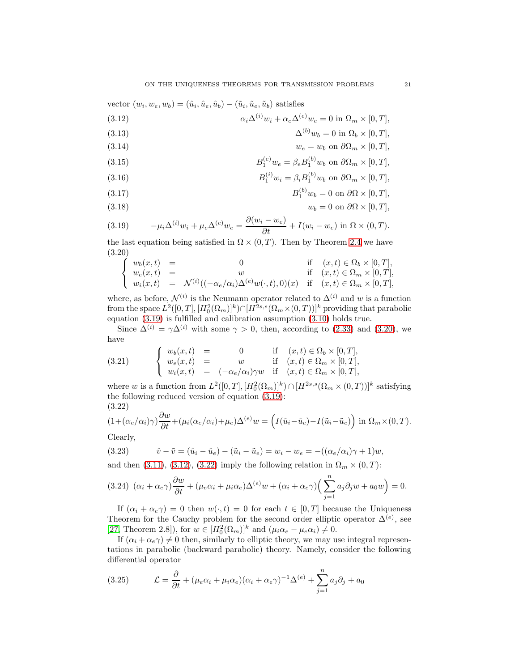vector  $(w_i, w_e, w_b) = (\hat{u}_i, \hat{u}_e, \hat{u}_b) - (\tilde{u}_i, \tilde{u}_e, \tilde{u}_b)$  satisfies

<span id="page-20-2"></span>(3.12) 
$$
\alpha_i \Delta^{(i)} w_i + \alpha_e \Delta^{(e)} w_e = 0 \text{ in } \Omega_m \times [0, T],
$$

(3.13) 
$$
\Delta^{(b)}w_b = 0 \text{ in } \Omega_b \times [0,T],
$$

(3.14)  $w_e = w_b$  on  $\partial \Omega_m \times [0, T]$ ,

(3.15) 
$$
B_1^{(e)}w_e = \beta_e B_1^{(b)}w_b \text{ on } \partial\Omega_m \times [0,T],
$$

(3.16) 
$$
B_1^{(i)}w_i = \beta_i B_1^{(b)}w_b \text{ on } \partial\Omega_m \times [0, T],
$$

$$
(3.17) \t\t B_1^{(0)}w_b = 0 \text{ on } \partial\Omega \times [0,T],
$$

$$
(3.18) \t\t\t w_b = 0 \text{ on } \partial\Omega \times [0, T],
$$

<span id="page-20-0"></span>(3.19) 
$$
-\mu_i \Delta^{(i)} w_i + \mu_e \Delta^{(e)} w_e = \frac{\partial (w_i - w_e)}{\partial t} + I(w_i - w_e) \text{ in } \Omega \times (0, T).
$$

the last equation being satisfied in  $\Omega \times (0,T)$ . Then by Theorem [2.4](#page-9-0) we have (3.20)

<span id="page-20-1"></span>
$$
\begin{cases}\nw_b(x,t) = 0 & \text{if } (x,t) \in \Omega_b \times [0,T], \\
w_e(x,t) = w & \text{if } (x,t) \in \Omega_m \times [0,T], \\
w_i(x,t) = \mathcal{N}^{(i)}((-\alpha_e/\alpha_i)\Delta^{(e)}w(\cdot,t),0)(x) & \text{if } (x,t) \in \Omega_m \times [0,T],\n\end{cases}
$$

where, as before,  $\mathcal{N}^{(i)}$  is the Neumann operator related to  $\Delta^{(i)}$  and w is a function from the space  $L^2([0,T], [H_0^2(\Omega_m)]^k) \cap [H^{2s,s}(\Omega_m \times (0,T))]^k$  providing that parabolic equation [\(3.19\)](#page-20-0) is fulfilled and calibration assumption [\(3.10\)](#page-19-0) holds true.

Since  $\Delta^{(i)} = \gamma \Delta^{(i)}$  with some  $\gamma > 0$ , then, according to [\(2.33\)](#page-13-0) and [\(3.20\)](#page-20-1), we have

<span id="page-20-4"></span>(3.21) 
$$
\begin{cases} w_b(x,t) = 0 & \text{if } (x,t) \in \Omega_b \times [0,T], \\ w_e(x,t) = w & \text{if } (x,t) \in \Omega_m \times [0,T], \\ w_i(x,t) = (-\alpha_e/\alpha_i)\gamma w & \text{if } (x,t) \in \Omega_m \times [0,T], \end{cases}
$$

where w is a function from  $L^2([0,T], [H_0^2(\Omega_m)]^k) \cap [H^{2s,s}(\Omega_m \times (0,T))]^k$  satisfying the following reduced version of equation [\(3.19\)](#page-20-0): (3.22)

<span id="page-20-3"></span>
$$
(1+(\alpha_e/\alpha_i)\gamma)\frac{\partial w}{\partial t}+(\mu_i(\alpha_e/\alpha_i)+\mu_e)\Delta^{(e)}w=\left(I(\hat{u}_i-\hat{u}_e)-I(\tilde{u}_i-\tilde{u}_e)\right) \text{ in } \Omega_m\times(0,T).
$$
Clearly

Clearly,

(3.23) 
$$
\hat{v} - \tilde{v} = (\hat{u}_i - \hat{u}_e) - (\tilde{u}_i - \tilde{u}_e) = w_i - w_e = -((\alpha_e/\alpha_i)\gamma + 1)w,
$$

and then [\(3.11\)](#page-19-4), [\(3.12\)](#page-20-2), [\(3.22\)](#page-20-3) imply the following relation in  $\Omega_m \times (0, T)$ :

$$
(3.24)\ (\alpha_i + \alpha_e \gamma)\frac{\partial w}{\partial t} + (\mu_e \alpha_i + \mu_i \alpha_e) \Delta^{(e)} w + (\alpha_i + \alpha_e \gamma) \left(\sum_{j=1}^n a_j \partial_j w + a_0 w\right) = 0.
$$

If  $(\alpha_i + \alpha_e \gamma) = 0$  then  $w(\cdot, t) = 0$  for each  $t \in [0, T]$  because the Uniqueness Theorem for the Cauchy problem for the second order elliptic operator  $\Delta^{(e)}$ , see [\[27,](#page-23-16) Theorem 2.8]), for  $w \in [H_0^2(\Omega_m)]^k$  and  $(\mu_i \alpha_e - \mu_e \alpha_i) \neq 0$ .

If  $(\alpha_i + \alpha_e \gamma) \neq 0$  then, similarly to elliptic theory, we may use integral representations in parabolic (backward parabolic) theory. Namely, consider the following differential operator

(3.25) 
$$
\mathcal{L} = \frac{\partial}{\partial t} + (\mu_e \alpha_i + \mu_i \alpha_e)(\alpha_i + \alpha_e \gamma)^{-1} \Delta^{(e)} + \sum_{j=1}^n a_j \partial_j + a_0
$$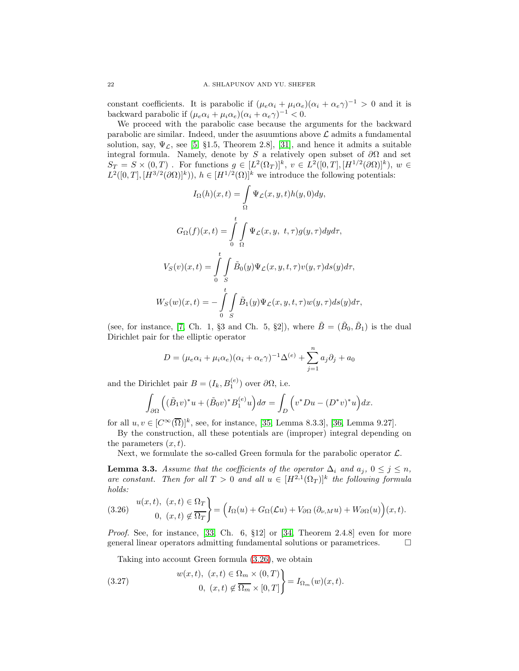constant coefficients. It is parabolic if  $(\mu_e \alpha_i + \mu_i \alpha_e)(\alpha_i + \alpha_e \gamma)^{-1} > 0$  and it is backward parabolic if  $(\mu_e \alpha_i + \mu_i \alpha_e)(\alpha_i + \alpha_e \gamma)^{-1} < 0$ .

We proceed with the parabolic case because the arguments for the backward parabolic are similar. Indeed, under the asuumtions above  $\mathcal L$  admits a fundamental solution, say,  $\Psi_{\mathcal{L}}$ , see [\[5,](#page-23-0) §1.5, Theorem 2.8], [\[31\]](#page-24-4), and hence it admits a suitable integral formula. Namely, denote by S a relatively open subset of  $\partial\Omega$  and set  $S_T = S \times (0,T)$ . For functions  $g \in [L^2(\Omega_T)]^k$ ,  $v \in L^2([0,T], [H^{1/2}(\partial \Omega)]^k)$ ,  $w \in$  $L^2([0,T],[H^{3/2}(\partial\Omega)]^k)$ ,  $h \in [H^{1/2}(\Omega)]^k$  we introduce the following potentials:

$$
I_{\Omega}(h)(x,t) = \int_{\Omega} \Psi_{\mathcal{L}}(x, y, t)h(y, 0)dy,
$$
  

$$
G_{\Omega}(f)(x,t) = \int_{0}^{t} \int_{\Omega} \Psi_{\mathcal{L}}(x, y, t, \tau)g(y, \tau)dyd\tau,
$$
  

$$
V_{S}(v)(x,t) = \int_{0}^{t} \int_{S} \tilde{B}_{0}(y)\Psi_{\mathcal{L}}(x, y, t, \tau)v(y, \tau)ds(y)d\tau,
$$
  

$$
W_{S}(w)(x,t) = -\int_{0}^{t} \int_{S} \tilde{B}_{1}(y)\Psi_{\mathcal{L}}(x, y, t, \tau)w(y, \tau)ds(y)d\tau,
$$

(see, for instance, [\[7,](#page-23-21) Ch. 1, §3 and Ch. 5, §2]), where  $\tilde{B} = (\tilde{B}_0, \tilde{B}_1)$  is the dual Dirichlet pair for the elliptic operator

$$
D = (\mu_e \alpha_i + \mu_i \alpha_e)(\alpha_i + \alpha_e \gamma)^{-1} \Delta^{(e)} + \sum_{j=1}^n a_j \partial_j + a_0
$$

and the Dirichlet pair  $B = (I_k, B_1^{(e)})$  over  $\partial \Omega$ , i.e.

$$
\int_{\partial\Omega} \left( (\tilde{B}_1 v)^* u + (\tilde{B}_0 v)^* B_1^{(e)} u \right) d\sigma = \int_D \left( v^* D u - (D^* v)^* u \right) dx.
$$

for all  $u, v \in [C^{\infty}(\overline{\Omega})]^k$ , see, for instance, [\[35,](#page-24-5) Lemma 8.3.3], [\[36,](#page-24-1) Lemma 9.27].

By the construction, all these potentials are (improper) integral depending on the parameters  $(x, t)$ .

Next, we formulate the so-called Green formula for the parabolic operator  $\mathcal{L}$ .

**Lemma 3.3.** Assume that the coefficients of the operator  $\Delta_i$  and  $a_j$ ,  $0 \leq j \leq n$ , are constant. Then for all  $T > 0$  and all  $u \in [H^{2,1}(\Omega_T)]^k$  the following formula holds:

<span id="page-21-0"></span>(3.26) 
$$
\begin{aligned} u(x,t), & (x,t) \in \Omega_T \\ 0, & (x,t) \notin \overline{\Omega_T} \end{aligned} = \left( I_{\Omega}(u) + G_{\Omega}(\mathcal{L}u) + V_{\partial\Omega}(\partial_{\nu,M}u) + W_{\partial\Omega}(u) \right)(x,t).
$$

*Proof.* See, for instance,  $\begin{bmatrix} 33, \text{ Ch. } 6, \text{ §12} \end{bmatrix}$  or  $\begin{bmatrix} 34, \text{ Theorem 2.4.8} \end{bmatrix}$  even for more general linear operators admitting fundamental solutions or parametrices.

<span id="page-21-1"></span>Taking into account Green formula [\(3.26\)](#page-21-0), we obtain

(3.27) 
$$
\begin{aligned}\nw(x,t), (x,t) &\in \Omega_m \times (0,T) \\
0, (x,t) &\notin \overline{\Omega_m} \times [0,T]\n\end{aligned}\n\bigg\} = I_{\Omega_m}(w)(x,t).
$$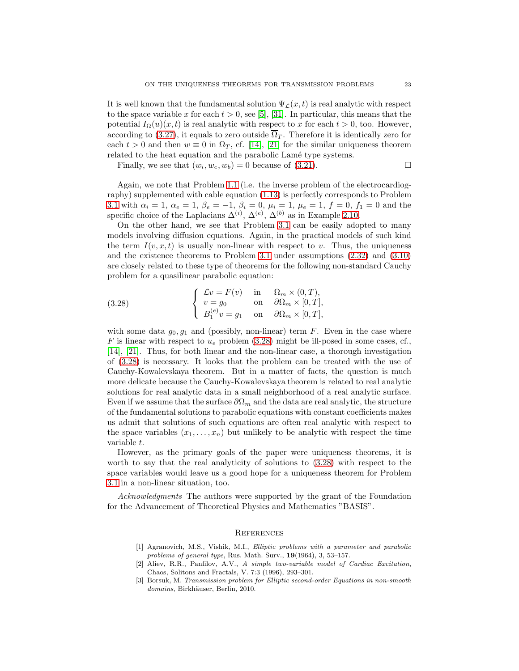It is well known that the fundamental solution  $\Psi_{\mathcal{L}}(x,t)$  is real analytic with respect to the space variable x for each  $t > 0$ , see [\[5\]](#page-23-0), [\[31\]](#page-24-4). In particular, this means that the potential  $I_{\Omega}(u)(x,t)$  is real analytic with respect to x for each  $t > 0$ , too. However, according to [\(3.27\)](#page-21-1), it equals to zero outside  $\overline{\Omega}_T$ . Therefore it is identically zero for each  $t > 0$  and then  $w \equiv 0$  in  $\Omega_T$ , cf. [\[14\]](#page-23-22), [\[21\]](#page-23-23) for the similar uniqueness theorem related to the heat equation and the parabolic Lamé type systems.

Finally, we see that  $(w_i, w_e, w_b) = 0$  because of [\(3.21\)](#page-20-4).

Again, we note that Problem [1.1](#page-3-8) (i.e. the inverse problem of the electrocardiography) supplemented with cable equation [\(1.13\)](#page-3-2) is perfectly corresponds to Problem [3.1](#page-18-1) with  $\alpha_i = 1, \ \alpha_e = 1, \ \beta_e = -1, \beta_i = 0, \ \mu_i = 1, \ \mu_e = 1, \ f = 0, \ f_1 = 0$  and the specific choice of the Laplacians  $\Delta^{(i)}$ ,  $\Delta^{(e)}$ ,  $\Delta^{(b)}$  as in Example [2.10.](#page-15-3)

On the other hand, we see that Problem [3.1](#page-18-1) can be easily adopted to many models involving diffusion equations. Again, in the practical models of such kind the term  $I(v, x, t)$  is usually non-linear with respect to v. Thus, the uniqueness and the existence theorems to Problem [3.1](#page-18-1) under assumptions [\(2.32\)](#page-13-3) and [\(3.10\)](#page-19-0) are closely related to these type of theorems for the following non-standard Cauchy problem for a quasilinear parabolic equation:

<span id="page-22-3"></span>(3.28) 
$$
\begin{cases} \mathcal{L}v = F(v) & \text{in} \quad \Omega_m \times (0, T), \\ v = g_0 & \text{on} \quad \partial \Omega_m \times [0, T], \\ B_1^{(e)} v = g_1 & \text{on} \quad \partial \Omega_m \times [0, T], \end{cases}
$$

with some data  $g_0, g_1$  and (possibly, non-linear) term F. Even in the case where F is linear with respect to  $u_e$  problem [\(3.28\)](#page-22-3) might be ill-posed in some cases, cf., [\[14\]](#page-23-22), [\[21\]](#page-23-23). Thus, for both linear and the non-linear case, a thorough investigation of [\(3.28\)](#page-22-3) is necessary. It looks that the problem can be treated with the use of Cauchy-Kowalevskaya theorem. But in a matter of facts, the question is much more delicate because the Cauchy-Kowalevskaya theorem is related to real analytic solutions for real analytic data in a small neighborhood of a real analytic surface. Even if we assume that the surface  $\partial\Omega_m$  and the data are real analytic, the structure of the fundamental solutions to parabolic equations with constant coefficients makes us admit that solutions of such equations are often real analytic with respect to the space variables  $(x_1, \ldots, x_n)$  but unlikely to be analytic with respect the time variable t.

However, as the primary goals of the paper were uniqueness theorems, it is worth to say that the real analyticity of solutions to [\(3.28\)](#page-22-3) with respect to the space variables would leave us a good hope for a uniqueness theorem for Problem [3.1](#page-18-1) in a non-linear situation, too.

Acknowledgments The authors were supported by the grant of the Foundation for the Advancement of Theoretical Physics and Mathematics "BASIS".

#### **REFERENCES**

- <span id="page-22-2"></span>[1] Agranovich, M.S., Vishik, M.I., Elliptic problems with a parameter and parabolic problems of general type, Rus. Math. Surv., 19(1964), 3, 53–157.
- <span id="page-22-1"></span>[2] Aliev, R.R., Panfilov, A.V., A simple two-variable model of Cardiac Excitation, Chaos, Solitons and Fractals, V. 7:3 (1996), 293–301.
- <span id="page-22-0"></span>[3] Borsuk, M. Transmission problem for Elliptic second-order Equations in non-smooth domains, Birkhäuser, Berlin, 2010.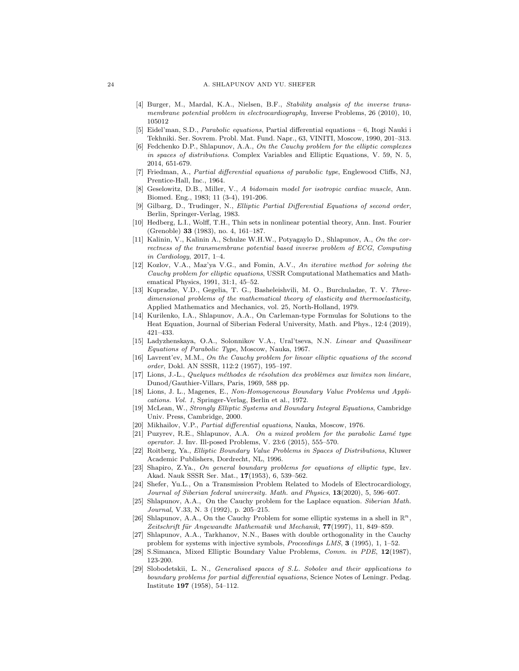- <span id="page-23-1"></span>[4] Burger, M., Mardal, K.A., Nielsen, B.F., Stability analysis of the inverse transmembrane potential problem in electrocardiography, Inverse Problems, 26 (2010), 10, 105012
- <span id="page-23-0"></span>[5] Eidel'man, S.D., Parabolic equations, Partial differential equations – 6, Itogi Nauki i Tekhniki. Ser. Sovrem. Probl. Mat. Fund. Napr., 63, VINITI, Moscow, 1990, 201–313.
- <span id="page-23-18"></span>[6] Fedchenko D.P., Shlapunov, A.A., On the Cauchy problem for the elliptic complexes in spaces of distributions. Complex Variables and Elliptic Equations, V. 59, N. 5, 2014, 651-679.
- <span id="page-23-21"></span>[7] Friedman, A., Partial differential equations of parabolic type, Englewood Cliffs, NJ, Prentice-Hall, Inc., 1964.
- <span id="page-23-2"></span>[8] Geselowitz, D.B., Miller, V., A bidomain model for isotropic cardiac muscle, Ann. Biomed. Eng., 1983; 11 (3-4), 191-206.
- <span id="page-23-5"></span>Gilbarg, D., Trudinger, N., Elliptic Partial Differential Equations of second order, Berlin, Springer-Verlag, 1983.
- <span id="page-23-19"></span>[10] Hedberg, L.I., Wolff, T.H., Thin sets in nonlinear potential theory, Ann. Inst. Fourier (Grenoble) 33 (1983), no. 4, 161–187.
- <span id="page-23-12"></span>[11] Kalinin, V., Kalinin A., Schulze W.H.W., Potyagaylo D., Shlapunov, A., On the correctness of the transmembrane potential based inverse problem of ECG, Computing in Cardiology, 2017, 1–4.
- <span id="page-23-4"></span>[12] Kozlov, V.A., Maz'ya V.G., and Fomin, A.V., An iterative method for solving the Cauchy problem for elliptic equations, USSR Computational Mathematics and Mathematical Physics, 1991, 31:1, 45–52.
- <span id="page-23-20"></span>[13] Kupradze, V.D., Gegelia, T. G., Basheleishvili, M. O., Burchuladze, T. V. Threedimensional problems of the mathematical theory of elasticity and thermoelasticity, Applied Mathematics and Mechanics, vol. 25, North-Holland, 1979.
- <span id="page-23-22"></span>[14] Kurilenko, I.A., Shlapunov, A.A., On Carleman-type Formulas for Solutions to the Heat Equation, Journal of Siberian Federal University, Math. and Phys., 12:4 (2019), 421–433.
- <span id="page-23-10"></span>[15] Ladyzhenskaya, O.A., Solonnikov V.A., Ural'tseva, N.N. Linear and Quasilinear Equations of Parabolic Type, Moscow, Nauka, 1967.
- <span id="page-23-3"></span>[16] Lavrent'ev, M.M., On the Cauchy problem for linear elliptic equations of the second order, Dokl. AN SSSR, 112:2 (1957), 195–197.
- <span id="page-23-11"></span> $[17]$  Lions, J.-L., Quelques méthodes de résolution des problèmes aux limites non linéare, Dunod/Gauthier-Villars, Paris, 1969, 588 pp.
- <span id="page-23-15"></span>[18] Lions, J. L., Magenes, E., Non-Homogeneous Boundary Value Problems und Applications. Vol. 1, Springer-Verlag, Berlin et al., 1972.
- <span id="page-23-7"></span><span id="page-23-6"></span>[19] McLean, W., Strongly Elliptic Systems and Boundary Integral Equations, Cambridge Univ. Press, Cambridge, 2000.
- <span id="page-23-23"></span>[20] Mikhailov, V.P., Partial differential equations, Nauka, Moscow, 1976.
- [21] Puzyrev, R.E., Shlapunov, A.A. On a mixed problem for the parabolic Lamé type operator. J. Inv. Ill-posed Problems, V. 23:6 (2015), 555–570.
- <span id="page-23-8"></span>[22] Roitberg, Ya., Elliptic Boundary Value Problems in Spaces of Distributions, Kluwer Academic Publishers, Dordrecht, NL, 1996.
- <span id="page-23-17"></span>[23] Shapiro, Z.Ya., On general boundary problems for equations of elliptic type, Izv. Akad. Nauk SSSR Ser. Mat., 17(1953), 6, 539–562.
- <span id="page-23-13"></span>[24] Shefer, Yu.L., On a Transmission Problem Related to Models of Electrocardiology, Journal of Siberian federal university. Math. and Physics, 13(2020), 5, 596-607.
- [25] Shlapunov, A.A., On the Cauchy problem for the Laplace equation. Siberian Math. Journal, V.33, N. 3 (1992), p. 205–215.
- [26] Shlapunov, A.A., On the Cauchy Problem for some elliptic systems in a shell in  $\mathbb{R}^n$ , Zeitschrift für Angewandte Mathematik und Mechanik, 77(1997), 11, 849–859.
- <span id="page-23-16"></span>[27] Shlapunov, A.A., Tarkhanov, N.N., Bases with double orthogonality in the Cauchy problem for systems with injective symbols, Proceedings LMS, 3 (1995), 1, 1–52.
- <span id="page-23-14"></span><span id="page-23-9"></span>[28] S.Simanca, Mixed Elliptic Boundary Value Problems, Comm. in PDE, 12(1987), 123-200.
- [29] Slobodetskii, L. N., Generalised spaces of S.L. Sobolev and their applications to boundary problems for partial differential equations, Science Notes of Leningr. Pedag. Institute 197 (1958), 54–112.